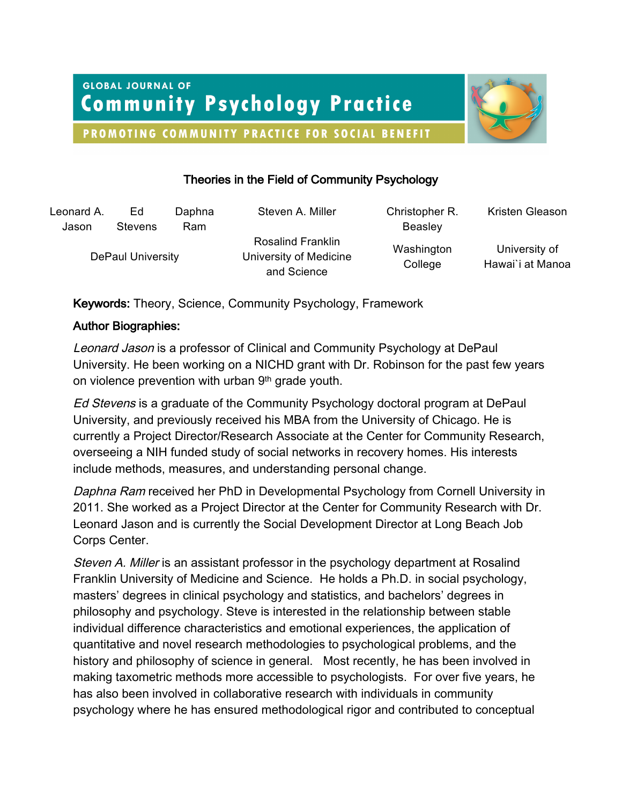**GLOBAL JOURNAL OF Community Psychology Practice** 



PROMOTING COMMUNITY PRACTICE FOR SOCIAL BENEFIT

# Theories in the Field of Community Psychology

| Leonard A.        | Ed             | Daphna | Steven A. Miller                                                  | Christopher R.        | Kristen Gleason                   |
|-------------------|----------------|--------|-------------------------------------------------------------------|-----------------------|-----------------------------------|
| Jason             | <b>Stevens</b> | Ram    |                                                                   | Beasley               |                                   |
| DePaul University |                |        | <b>Rosalind Franklin</b><br>University of Medicine<br>and Science | Washington<br>College | University of<br>Hawai'i at Manoa |

Keywords: Theory, Science, Community Psychology, Framework

# Author Biographies:

Leonard Jason is a professor of Clinical and Community Psychology at DePaul University. He been working on a NICHD grant with Dr. Robinson for the past few years on violence prevention with urban 9<sup>th</sup> grade youth.

Ed Stevens is a graduate of the Community Psychology doctoral program at DePaul University, and previously received his MBA from the University of Chicago. He is currently a Project Director/Research Associate at the Center for Community Research, overseeing a NIH funded study of social networks in recovery homes. His interests include methods, measures, and understanding personal change.

Daphna Ram received her PhD in Developmental Psychology from Cornell University in 2011. She worked as a Project Director at the Center for Community Research with Dr. Leonard Jason and is currently the Social Development Director at Long Beach Job Corps Center.

Steven A. Miller is an assistant professor in the psychology department at Rosalind Franklin University of Medicine and Science. He holds a Ph.D. in social psychology, masters' degrees in clinical psychology and statistics, and bachelors' degrees in philosophy and psychology. Steve is interested in the relationship between stable individual difference characteristics and emotional experiences, the application of quantitative and novel research methodologies to psychological problems, and the history and philosophy of science in general. Most recently, he has been involved in making taxometric methods more accessible to psychologists. For over five years, he has also been involved in collaborative research with individuals in community psychology where he has ensured methodological rigor and contributed to conceptual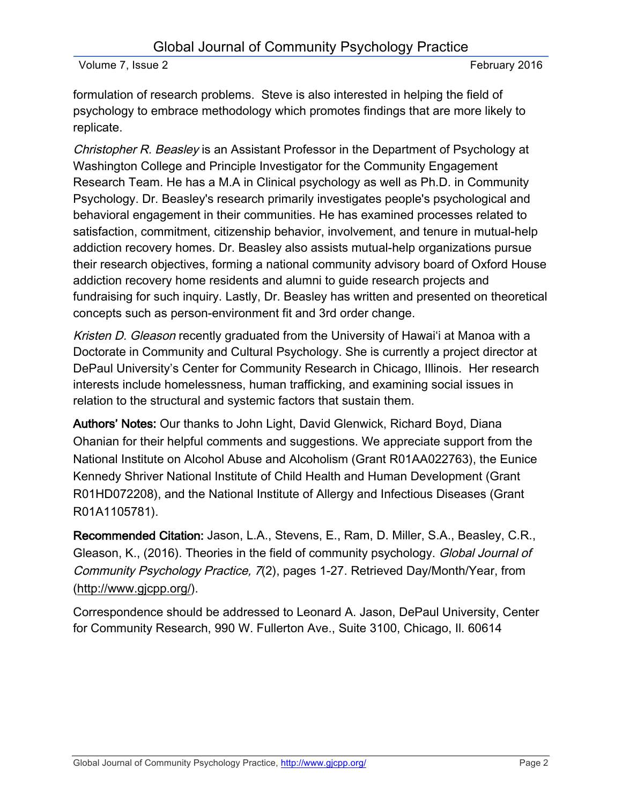formulation of research problems. Steve is also interested in helping the field of psychology to embrace methodology which promotes findings that are more likely to replicate.

Christopher R. Beasley is an Assistant Professor in the Department of Psychology at Washington College and Principle Investigator for the Community Engagement Research Team. He has a M.A in Clinical psychology as well as Ph.D. in Community Psychology. Dr. Beasley's research primarily investigates people's psychological and behavioral engagement in their communities. He has examined processes related to satisfaction, commitment, citizenship behavior, involvement, and tenure in mutual-help addiction recovery homes. Dr. Beasley also assists mutual-help organizations pursue their research objectives, forming a national community advisory board of Oxford House addiction recovery home residents and alumni to guide research projects and fundraising for such inquiry. Lastly, Dr. Beasley has written and presented on theoretical concepts such as person-environment fit and 3rd order change.

Kristen D. Gleason recently graduated from the University of Hawai'i at Manoa with a Doctorate in Community and Cultural Psychology. She is currently a project director at DePaul University's Center for Community Research in Chicago, Illinois. Her research interests include homelessness, human trafficking, and examining social issues in relation to the structural and systemic factors that sustain them.

Authors' Notes: Our thanks to John Light, David Glenwick, Richard Boyd, Diana Ohanian for their helpful comments and suggestions. We appreciate support from the National Institute on Alcohol Abuse and Alcoholism (Grant R01AA022763), the Eunice Kennedy Shriver National Institute of Child Health and Human Development (Grant R01HD072208), and the National Institute of Allergy and Infectious Diseases (Grant R01A1105781).

Recommended Citation: Jason, L.A., Stevens, E., Ram, D. Miller, S.A., Beasley, C.R., Gleason, K., (2016). Theories in the field of community psychology. Global Journal of Community Psychology Practice, 7(2), pages 1-27. Retrieved Day/Month/Year, from (http://www.gjcpp.org/).

Correspondence should be addressed to Leonard A. Jason, DePaul University, Center for Community Research, 990 W. Fullerton Ave., Suite 3100, Chicago, Il. 60614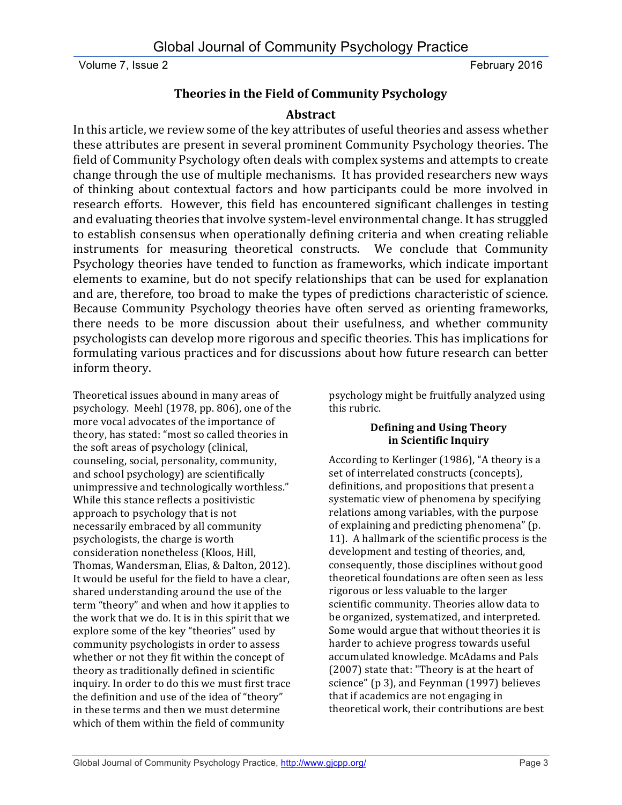# **Theories in the Field of Community Psychology**

# **Abstract**

In this article, we review some of the key attributes of useful theories and assess whether these attributes are present in several prominent Community Psychology theories. The field of Community Psychology often deals with complex systems and attempts to create change through the use of multiple mechanisms. It has provided researchers new ways of thinking about contextual factors and how participants could be more involved in research efforts. However, this field has encountered significant challenges in testing and evaluating theories that involve system-level environmental change. It has struggled to establish consensus when operationally defining criteria and when creating reliable instruments for measuring theoretical constructs. We conclude that Community Psychology theories have tended to function as frameworks, which indicate important elements to examine, but do not specify relationships that can be used for explanation and are, therefore, too broad to make the types of predictions characteristic of science. Because Community Psychology theories have often served as orienting frameworks, there needs to be more discussion about their usefulness, and whether community psychologists can develop more rigorous and specific theories. This has implications for formulating various practices and for discussions about how future research can better inform theory.

Theoretical issues abound in many areas of psychology. Meehl (1978, pp. 806), one of the more vocal advocates of the importance of theory, has stated: "most so called theories in the soft areas of psychology (clinical, counseling, social, personality, community, and school psychology) are scientifically unimpressive and technologically worthless." While this stance reflects a positivistic approach to psychology that is not necessarily embraced by all community psychologists, the charge is worth consideration nonetheless (Kloos, Hill, Thomas, Wandersman, Elias, & Dalton, 2012). It would be useful for the field to have a clear, shared understanding around the use of the term "theory" and when and how it applies to the work that we do. It is in this spirit that we explore some of the key "theories" used by community psychologists in order to assess whether or not they fit within the concept of theory as traditionally defined in scientific inquiry. In order to do this we must first trace the definition and use of the idea of "theory" in these terms and then we must determine which of them within the field of community

psychology might be fruitfully analyzed using this rubric.

## **Defining and Using Theory in Scientific Inquiry**

According to Kerlinger (1986), "A theory is a set of interrelated constructs (concepts), definitions, and propositions that present a systematic view of phenomena by specifying relations among variables, with the purpose of explaining and predicting phenomena" (p. 11). A hallmark of the scientific process is the development and testing of theories, and, consequently, those disciplines without good theoretical foundations are often seen as less rigorous or less valuable to the larger scientific community. Theories allow data to be organized, systematized, and interpreted. Some would argue that without theories it is harder to achieve progress towards useful accumulated knowledge. McAdams and Pals (2007) state that: "Theory is at the heart of science" (p 3), and Feynman (1997) believes that if academics are not engaging in theoretical work, their contributions are best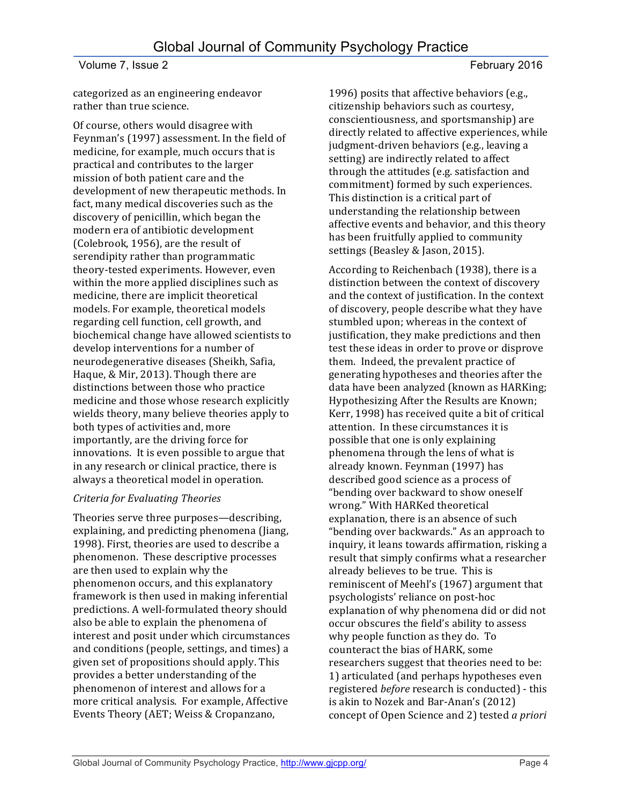categorized as an engineering endeavor rather than true science.

Of course, others would disagree with Feynman's (1997) assessment. In the field of medicine, for example, much occurs that is practical and contributes to the larger mission of both patient care and the development of new therapeutic methods. In fact, many medical discoveries such as the discovery of penicillin, which began the modern era of antibiotic development (Colebrook, 1956), are the result of serendipity rather than programmatic theory-tested experiments. However, even within the more applied disciplines such as medicine, there are implicit theoretical models. For example, theoretical models regarding cell function, cell growth, and biochemical change have allowed scientists to develop interventions for a number of neurodegenerative diseases (Sheikh, Safia, Haque, & Mir, 2013). Though there are distinctions between those who practice medicine and those whose research explicitly wields theory, many believe theories apply to both types of activities and, more importantly, are the driving force for innovations. It is even possible to argue that in any research or clinical practice, there is always a theoretical model in operation.

## *Criteria for Evaluating Theories*

Theories serve three purposes—describing, explaining, and predicting phenomena (Jiang, 1998). First, theories are used to describe a phenomenon. These descriptive processes are then used to explain why the phenomenon occurs, and this explanatory framework is then used in making inferential predictions. A well-formulated theory should also be able to explain the phenomena of interest and posit under which circumstances and conditions (people, settings, and times) a given set of propositions should apply. This provides a better understanding of the phenomenon of interest and allows for a more critical analysis. For example, Affective Events Theory (AET; Weiss & Cropanzano,

1996) posits that affective behaviors (e.g., citizenship behaviors such as courtesy, conscientiousness, and sportsmanship) are directly related to affective experiences, while judgment-driven behaviors (e.g., leaving a setting) are indirectly related to affect through the attitudes (e.g. satisfaction and commitment) formed by such experiences. This distinction is a critical part of understanding the relationship between affective events and behavior, and this theory has been fruitfully applied to community settings (Beasley & Jason, 2015).

According to Reichenbach (1938), there is a distinction between the context of discovery and the context of justification. In the context of discovery, people describe what they have stumbled upon; whereas in the context of justification, they make predictions and then test these ideas in order to prove or disprove them. Indeed, the prevalent practice of generating hypotheses and theories after the data have been analyzed (known as HARKing; Hypothesizing After the Results are Known; Kerr, 1998) has received quite a bit of critical attention. In these circumstances it is possible that one is only explaining phenomena through the lens of what is already known. Feynman (1997) has described good science as a process of "bending over backward to show oneself wrong." With HARKed theoretical explanation, there is an absence of such "bending over backwards." As an approach to inquiry, it leans towards affirmation, risking a result that simply confirms what a researcher already believes to be true. This is reminiscent of Meehl's (1967) argument that psychologists' reliance on post-hoc explanation of why phenomena did or did not occur obscures the field's ability to assess why people function as they do. To counteract the bias of HARK, some researchers suggest that theories need to be: 1) articulated (and perhaps hypotheses even registered *before* research is conducted) - this is akin to Nozek and Bar-Anan's (2012) concept of Open Science and 2) tested *a priori*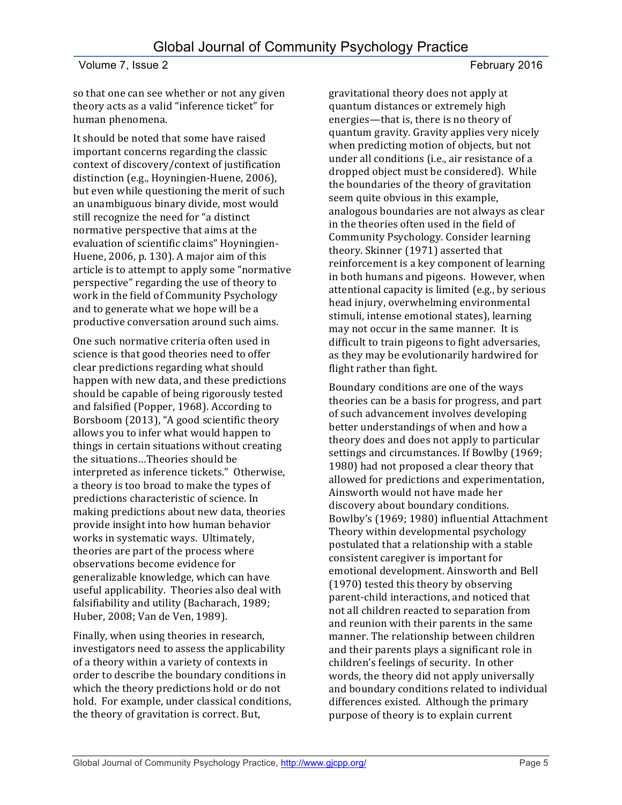so that one can see whether or not any given theory acts as a valid "inference ticket" for human phenomena.

It should be noted that some have raised important concerns regarding the classic context of discovery/context of justification distinction (e.g., Hoyningien-Huene, 2006), but even while questioning the merit of such an unambiguous binary divide, most would still recognize the need for "a distinct normative perspective that aims at the evaluation of scientific claims" Hoyningien-Huene, 2006, p. 130). A major aim of this article is to attempt to apply some "normative" perspective" regarding the use of theory to work in the field of Community Psychology and to generate what we hope will be a productive conversation around such aims.

One such normative criteria often used in science is that good theories need to offer clear predictions regarding what should happen with new data, and these predictions should be capable of being rigorously tested and falsified (Popper, 1968). According to Borsboom (2013), "A good scientific theory allows you to infer what would happen to things in certain situations without creating the situations...Theories should be interpreted as inference tickets." Otherwise, a theory is too broad to make the types of predictions characteristic of science. In making predictions about new data, theories provide insight into how human behavior works in systematic ways. Ultimately, theories are part of the process where observations become evidence for generalizable knowledge, which can have useful applicability. Theories also deal with falsifiability and utility (Bacharach, 1989; Huber, 2008; Van de Ven, 1989).

Finally, when using theories in research, investigators need to assess the applicability of a theory within a variety of contexts in order to describe the boundary conditions in which the theory predictions hold or do not hold. For example, under classical conditions, the theory of gravitation is correct. But,

gravitational theory does not apply at quantum distances or extremely high energies—that is, there is no theory of quantum gravity. Gravity applies very nicely when predicting motion of objects, but not under all conditions (i.e., air resistance of a dropped object must be considered). While the boundaries of the theory of gravitation seem quite obvious in this example, analogous boundaries are not always as clear in the theories often used in the field of Community Psychology. Consider learning theory. Skinner (1971) asserted that reinforcement is a key component of learning in both humans and pigeons. However, when attentional capacity is limited (e.g., by serious head injury, overwhelming environmental stimuli, intense emotional states), learning may not occur in the same manner. It is difficult to train pigeons to fight adversaries, as they may be evolutionarily hardwired for flight rather than fight.

Boundary conditions are one of the ways theories can be a basis for progress, and part of such advancement involves developing better understandings of when and how a theory does and does not apply to particular settings and circumstances. If Bowlby (1969; 1980) had not proposed a clear theory that allowed for predictions and experimentation, Ainsworth would not have made her discovery about boundary conditions. Bowlby's (1969; 1980) influential Attachment Theory within developmental psychology postulated that a relationship with a stable consistent caregiver is important for emotional development. Ainsworth and Bell (1970) tested this theory by observing parent-child interactions, and noticed that not all children reacted to separation from and reunion with their parents in the same manner. The relationship between children and their parents plays a significant role in children's feelings of security. In other words, the theory did not apply universally and boundary conditions related to individual differences existed. Although the primary purpose of theory is to explain current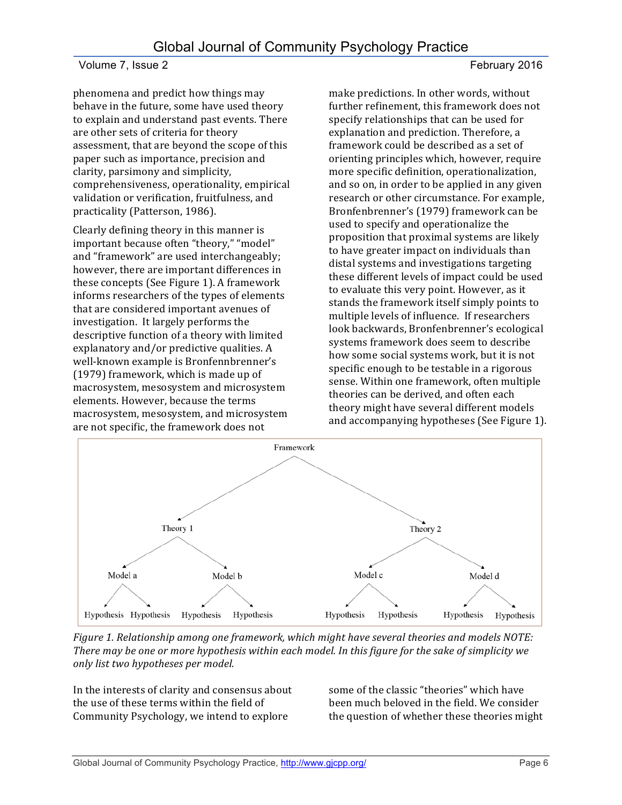phenomena and predict how things may behave in the future, some have used theory to explain and understand past events. There are other sets of criteria for theory assessment, that are beyond the scope of this paper such as importance, precision and clarity, parsimony and simplicity, comprehensiveness, operationality, empirical validation or verification, fruitfulness, and practicality (Patterson, 1986).

Clearly defining theory in this manner is important because often "theory," "model" and "framework" are used interchangeably; however, there are important differences in these concepts (See Figure 1). A framework informs researchers of the types of elements that are considered important avenues of investigation. It largely performs the descriptive function of a theory with limited explanatory and/or predictive qualities. A well-known example is Bronfennbrenner's (1979) framework, which is made up of macrosystem, mesosystem and microsystem elements. However, because the terms macrosystem, mesosystem, and microsystem are not specific, the framework does not

make predictions. In other words, without further refinement, this framework does not specify relationships that can be used for explanation and prediction. Therefore, a framework could be described as a set of orienting principles which, however, require more specific definition, operationalization, and so on, in order to be applied in any given research or other circumstance. For example, Bronfenbrenner's (1979) framework can be used to specify and operationalize the proposition that proximal systems are likely to have greater impact on individuals than distal systems and investigations targeting these different levels of impact could be used to evaluate this very point. However, as it stands the framework itself simply points to multiple levels of influence. If researchers look backwards, Bronfenbrenner's ecological systems framework does seem to describe how some social systems work, but it is not specific enough to be testable in a rigorous sense. Within one framework, often multiple theories can be derived, and often each theory might have several different models and accompanying hypotheses (See Figure 1).



*Figure 1. Relationship among one framework, which might have several theories and models NOTE: There* may be one or more hypothesis within each model. In this figure for the sake of simplicity we *only list two hypotheses per model.*

In the interests of clarity and consensus about the use of these terms within the field of Community Psychology, we intend to explore

some of the classic "theories" which have been much beloved in the field. We consider the question of whether these theories might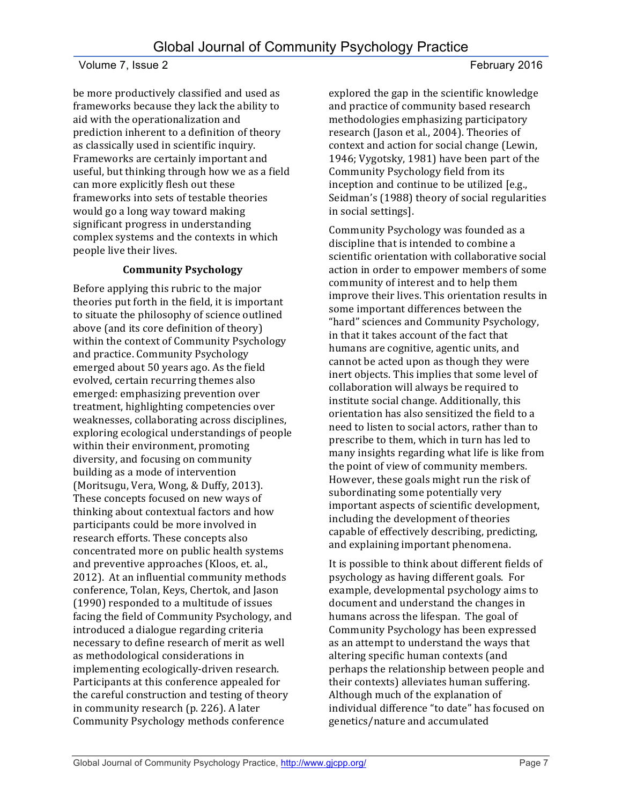be more productively classified and used as frameworks because they lack the ability to aid with the operationalization and prediction inherent to a definition of theory as classically used in scientific inquiry. Frameworks are certainly important and useful, but thinking through how we as a field can more explicitly flesh out these frameworks into sets of testable theories would go a long way toward making significant progress in understanding complex systems and the contexts in which people live their lives.

## **Community Psychology**

Before applying this rubric to the major theories put forth in the field, it is important to situate the philosophy of science outlined above (and its core definition of theory) within the context of Community Psychology and practice. Community Psychology emerged about 50 years ago. As the field evolved, certain recurring themes also emerged: emphasizing prevention over treatment, highlighting competencies over weaknesses, collaborating across disciplines, exploring ecological understandings of people within their environment, promoting diversity, and focusing on community building as a mode of intervention (Moritsugu, Vera, Wong, & Duffy, 2013). These concepts focused on new ways of thinking about contextual factors and how participants could be more involved in research efforts. These concepts also concentrated more on public health systems and preventive approaches (Kloos, et. al., 2012). At an influential community methods conference, Tolan, Keys, Chertok, and Jason (1990) responded to a multitude of issues facing the field of Community Psychology, and introduced a dialogue regarding criteria necessary to define research of merit as well as methodological considerations in implementing ecologically-driven research. Participants at this conference appealed for the careful construction and testing of theory in community research  $(p. 226)$ . A later Community Psychology methods conference

explored the gap in the scientific knowledge and practice of community based research methodologies emphasizing participatory research (Jason et al., 2004). Theories of context and action for social change (Lewin, 1946; Vygotsky, 1981) have been part of the Community Psychology field from its inception and continue to be utilized [e.g., Seidman's (1988) theory of social regularities in social settings].

Community Psychology was founded as a discipline that is intended to combine a scientific orientation with collaborative social action in order to empower members of some community of interest and to help them improve their lives. This orientation results in some important differences between the "hard" sciences and Community Psychology, in that it takes account of the fact that humans are cognitive, agentic units, and cannot be acted upon as though they were inert objects. This implies that some level of collaboration will always be required to institute social change. Additionally, this orientation has also sensitized the field to a need to listen to social actors, rather than to prescribe to them, which in turn has led to many insights regarding what life is like from the point of view of community members. However, these goals might run the risk of subordinating some potentially very important aspects of scientific development, including the development of theories capable of effectively describing, predicting, and explaining important phenomena.

It is possible to think about different fields of psychology as having different goals. For example, developmental psychology aims to document and understand the changes in humans across the lifespan. The goal of Community Psychology has been expressed as an attempt to understand the ways that altering specific human contexts (and perhaps the relationship between people and their contexts) alleviates human suffering. Although much of the explanation of individual difference "to date" has focused on genetics/nature and accumulated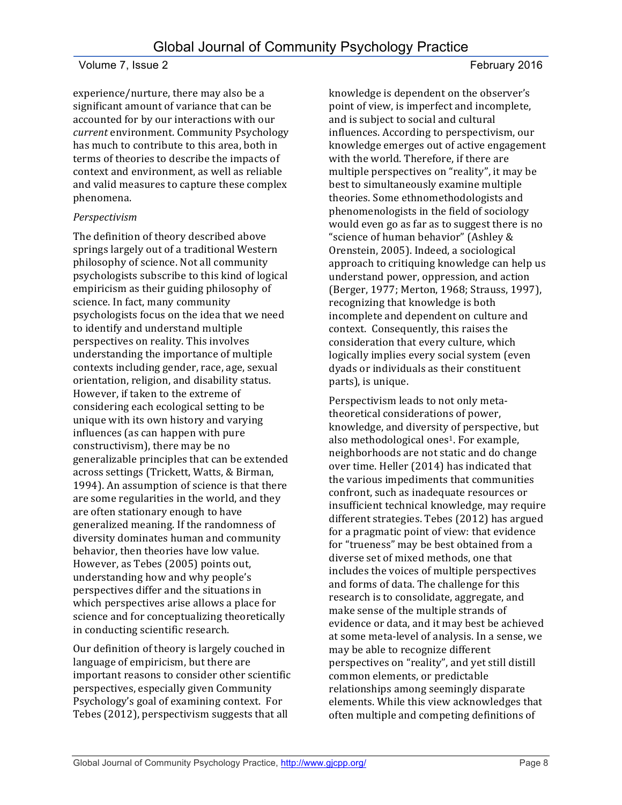experience/nurture, there may also be a significant amount of variance that can be accounted for by our interactions with our *current* environment. Community Psychology has much to contribute to this area, both in terms of theories to describe the impacts of context and environment, as well as reliable and valid measures to capture these complex phenomena.

#### *Perspectivism*

The definition of theory described above springs largely out of a traditional Western philosophy of science. Not all community psychologists subscribe to this kind of logical empiricism as their guiding philosophy of science. In fact, many community psychologists focus on the idea that we need to identify and understand multiple perspectives on reality. This involves understanding the importance of multiple contexts including gender, race, age, sexual orientation, religion, and disability status. However, if taken to the extreme of considering each ecological setting to be unique with its own history and varying influences (as can happen with pure constructivism), there may be no generalizable principles that can be extended across settings (Trickett, Watts, & Birman, 1994). An assumption of science is that there are some regularities in the world, and they are often stationary enough to have generalized meaning. If the randomness of diversity dominates human and community behavior, then theories have low value. However, as Tebes (2005) points out, understanding how and why people's perspectives differ and the situations in which perspectives arise allows a place for science and for conceptualizing theoretically in conducting scientific research.

Our definition of theory is largely couched in language of empiricism, but there are important reasons to consider other scientific perspectives, especially given Community Psychology's goal of examining context. For Tebes (2012), perspectivism suggests that all

knowledge is dependent on the observer's point of view, is imperfect and incomplete, and is subject to social and cultural influences. According to perspectivism, our knowledge emerges out of active engagement with the world. Therefore, if there are multiple perspectives on "reality", it may be best to simultaneously examine multiple theories. Some ethnomethodologists and phenomenologists in the field of sociology would even go as far as to suggest there is no "science of human behavior" (Ashley & Orenstein, 2005). Indeed, a sociological approach to critiquing knowledge can help us understand power, oppression, and action (Berger, 1977; Merton, 1968; Strauss, 1997), recognizing that knowledge is both incomplete and dependent on culture and context. Consequently, this raises the consideration that every culture, which logically implies every social system (even dyads or individuals as their constituent parts), is unique.

Perspectivism leads to not only metatheoretical considerations of power, knowledge, and diversity of perspective, but also methodological ones<sup>1</sup>. For example, neighborhoods are not static and do change over time. Heller (2014) has indicated that the various impediments that communities confront, such as inadequate resources or insufficient technical knowledge, may require different strategies. Tebes (2012) has argued for a pragmatic point of view: that evidence for "trueness" may be best obtained from a diverse set of mixed methods, one that includes the voices of multiple perspectives and forms of data. The challenge for this research is to consolidate, aggregate, and make sense of the multiple strands of evidence or data, and it may best be achieved at some meta-level of analysis. In a sense, we may be able to recognize different perspectives on "reality", and yet still distill common elements, or predictable relationships among seemingly disparate elements. While this view acknowledges that often multiple and competing definitions of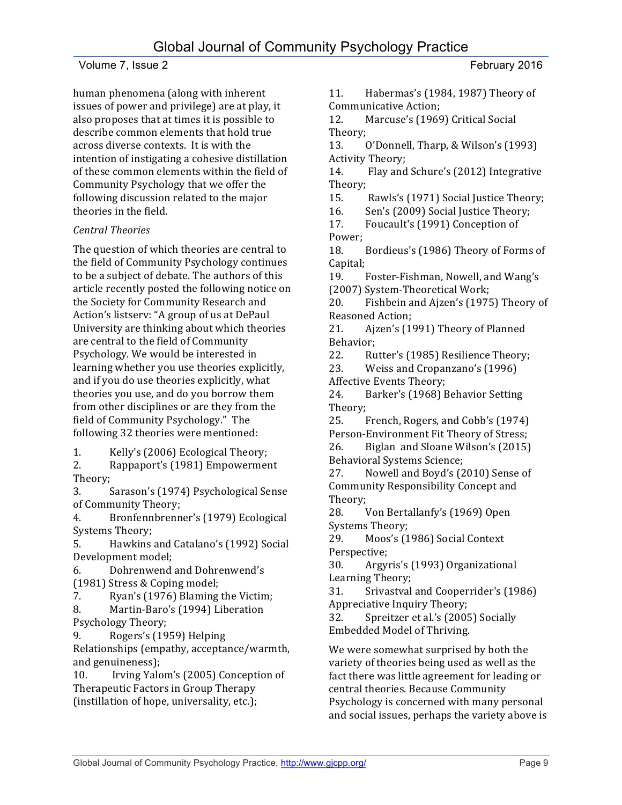human phenomena (along with inherent issues of power and privilege) are at play, it also proposes that at times it is possible to describe common elements that hold true across diverse contexts. It is with the intention of instigating a cohesive distillation of these common elements within the field of Community Psychology that we offer the following discussion related to the major theories in the field.

## *Central Theories*

The question of which theories are central to the field of Community Psychology continues to be a subject of debate. The authors of this article recently posted the following notice on the Society for Community Research and Action's listserv: "A group of us at DePaul University are thinking about which theories are central to the field of Community Psychology. We would be interested in learning whether you use theories explicitly, and if you do use theories explicitly, what theories you use, and do you borrow them from other disciplines or are they from the field of Community Psychology." The following 32 theories were mentioned:

1. Kelly's (2006) Ecological Theory;

2. Rappaport's (1981) Empowerment Theory; 

3. Sarason's (1974) Psychological Sense of Community Theory;

4. Bronfennbrenner's (1979) Ecological Systems Theory;

5. Hawkins and Catalano's (1992) Social Development model;

6. Dohrenwend and Dohrenwend's (1981) Stress & Coping model;

7. Ryan's (1976) Blaming the Victim;

8. Martin-Baro's (1994) Liberation Psychology Theory;

9. Rogers's (1959) Helping

Relationships (empathy, acceptance/warmth, and genuineness):

10. Irving Yalom's (2005) Conception of Therapeutic Factors in Group Therapy (instillation of hope, universality, etc.);

11. Habermas's (1984, 1987) Theory of Communicative Action; 

12. Marcuse's (1969) Critical Social Theory; 

13. O'Donnell, Tharp, & Wilson's (1993) Activity Theory:

14. Flay and Schure's (2012) Integrative Theory; 

15. Rawls's (1971) Social Justice Theory;

16. Sen's (2009) Social Justice Theory;

17. Foucault's (1991) Conception of Power; 

18. Bordieus's (1986) Theory of Forms of Capital; 

19. Foster-Fishman, Nowell, and Wang's (2007) System-Theoretical Work;

20. Fishbein and Ajzen's (1975) Theory of Reasoned Action;

21. Ajzen's (1991) Theory of Planned Behavior; 

22. Rutter's (1985) Resilience Theory;

23. Weiss and Cropanzano's (1996)

Affective Events Theory;

24. Barker's (1968) Behavior Setting Theory; 

25. French, Rogers, and Cobb's (1974) Person-Environment Fit Theory of Stress;

26. Biglan and Sloane Wilson's (2015) Behavioral Systems Science;

27. Nowell and Boyd's (2010) Sense of Community Responsibility Concept and Theory;

28. Von Bertallanfy's (1969) Open Systems Theory;

29. Moos's (1986) Social Context Perspective; 

30. Argyris's (1993) Organizational Learning Theory;

31. Srivastval and Cooperrider's (1986) Appreciative Inquiry Theory;

32. Spreitzer et al.'s (2005) Socially Embedded Model of Thriving.

We were somewhat surprised by both the variety of theories being used as well as the fact there was little agreement for leading or central theories. Because Community Psychology is concerned with many personal and social issues, perhaps the variety above is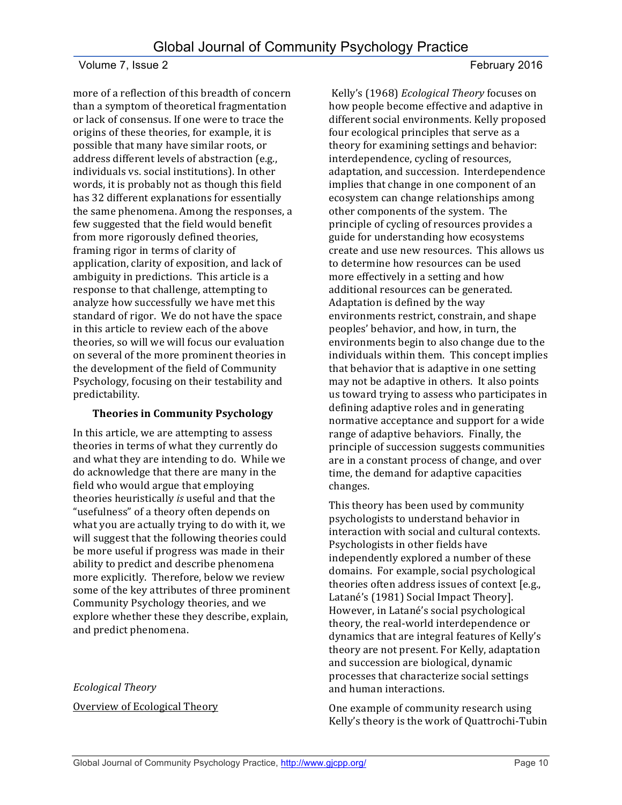more of a reflection of this breadth of concern than a symptom of theoretical fragmentation or lack of consensus. If one were to trace the origins of these theories, for example, it is possible that many have similar roots, or address different levels of abstraction (e.g., individuals vs. social institutions). In other words, it is probably not as though this field has 32 different explanations for essentially the same phenomena. Among the responses, a few suggested that the field would benefit from more rigorously defined theories, framing rigor in terms of clarity of application, clarity of exposition, and lack of ambiguity in predictions. This article is a response to that challenge, attempting to analyze how successfully we have met this standard of rigor. We do not have the space in this article to review each of the above theories, so will we will focus our evaluation on several of the more prominent theories in the development of the field of Community Psychology, focusing on their testability and predictability.

## **Theories in Community Psychology**

In this article, we are attempting to assess theories in terms of what they currently do and what they are intending to do. While we do acknowledge that there are many in the field who would argue that employing theories heuristically *is* useful and that the "usefulness" of a theory often depends on what you are actually trying to do with it, we will suggest that the following theories could be more useful if progress was made in their ability to predict and describe phenomena more explicitly. Therefore, below we review some of the key attributes of three prominent Community Psychology theories, and we explore whether these they describe, explain, and predict phenomena.

*Ecological Theory* Overview of Ecological Theory

Kelly's (1968) *Ecological Theory* focuses on how people become effective and adaptive in different social environments. Kelly proposed four ecological principles that serve as a theory for examining settings and behavior: interdependence, cycling of resources, adaptation, and succession. Interdependence implies that change in one component of an ecosystem can change relationships among other components of the system. The principle of cycling of resources provides a guide for understanding how ecosystems create and use new resources. This allows us to determine how resources can be used more effectively in a setting and how additional resources can be generated. Adaptation is defined by the way environments restrict, constrain, and shape peoples' behavior, and how, in turn, the environments begin to also change due to the individuals within them. This concept implies that behavior that is adaptive in one setting may not be adaptive in others. It also points us toward trying to assess who participates in defining adaptive roles and in generating normative acceptance and support for a wide range of adaptive behaviors. Finally, the principle of succession suggests communities are in a constant process of change, and over time, the demand for adaptive capacities changes. 

This theory has been used by community psychologists to understand behavior in interaction with social and cultural contexts. Psychologists in other fields have independently explored a number of these domains. For example, social psychological theories often address issues of context [e.g., Latané's (1981) Social Impact Theory]. However, in Latané's social psychological theory, the real-world interdependence or dynamics that are integral features of Kelly's theory are not present. For Kelly, adaptation and succession are biological, dynamic processes that characterize social settings and human interactions.

One example of community research using Kelly's theory is the work of Quattrochi-Tubin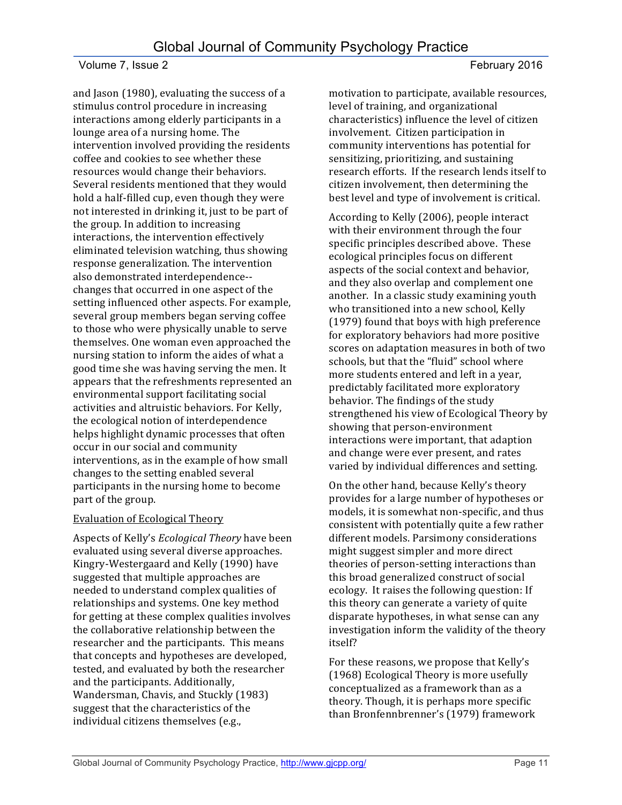and Jason (1980), evaluating the success of a stimulus control procedure in increasing interactions among elderly participants in a lounge area of a nursing home. The intervention involved providing the residents coffee and cookies to see whether these resources would change their behaviors. Several residents mentioned that they would hold a half-filled cup, even though they were not interested in drinking it, just to be part of the group. In addition to increasing interactions, the intervention effectively eliminated television watching, thus showing response generalization. The intervention also demonstrated interdependence-changes that occurred in one aspect of the setting influenced other aspects. For example, several group members began serving coffee to those who were physically unable to serve themselves. One woman even approached the nursing station to inform the aides of what a good time she was having serving the men. It appears that the refreshments represented an environmental support facilitating social activities and altruistic behaviors. For Kelly, the ecological notion of interdependence helps highlight dynamic processes that often occur in our social and community interventions, as in the example of how small changes to the setting enabled several participants in the nursing home to become part of the group.

## **Evaluation of Ecological Theory**

Aspects of Kelly's *Ecological Theory* have been evaluated using several diverse approaches. Kingry-Westergaard and Kelly (1990) have suggested that multiple approaches are needed to understand complex qualities of relationships and systems. One key method for getting at these complex qualities involves the collaborative relationship between the researcher and the participants. This means that concepts and hypotheses are developed, tested, and evaluated by both the researcher and the participants. Additionally, Wandersman, Chavis, and Stuckly (1983) suggest that the characteristics of the individual citizens themselves (e.g.,

motivation to participate, available resources, level of training, and organizational characteristics) influence the level of citizen involvement. Citizen participation in community interventions has potential for sensitizing, prioritizing, and sustaining research efforts. If the research lends itself to citizen involvement, then determining the best level and type of involvement is critical.

According to Kelly (2006), people interact with their environment through the four specific principles described above. These ecological principles focus on different aspects of the social context and behavior, and they also overlap and complement one another. In a classic study examining youth who transitioned into a new school, Kelly (1979) found that boys with high preference for exploratory behaviors had more positive scores on adaptation measures in both of two schools, but that the "fluid" school where more students entered and left in a year, predictably facilitated more exploratory behavior. The findings of the study strengthened his view of Ecological Theory by showing that person-environment interactions were important, that adaption and change were ever present, and rates varied by individual differences and setting.

On the other hand, because Kelly's theory provides for a large number of hypotheses or models, it is somewhat non-specific, and thus consistent with potentially quite a few rather different models. Parsimony considerations might suggest simpler and more direct theories of person-setting interactions than this broad generalized construct of social ecology. It raises the following question: If this theory can generate a variety of quite disparate hypotheses, in what sense can any investigation inform the validity of the theory itself? 

For these reasons, we propose that Kelly's (1968) Ecological Theory is more usefully conceptualized as a framework than as a theory. Though, it is perhaps more specific than Bronfennbrenner's (1979) framework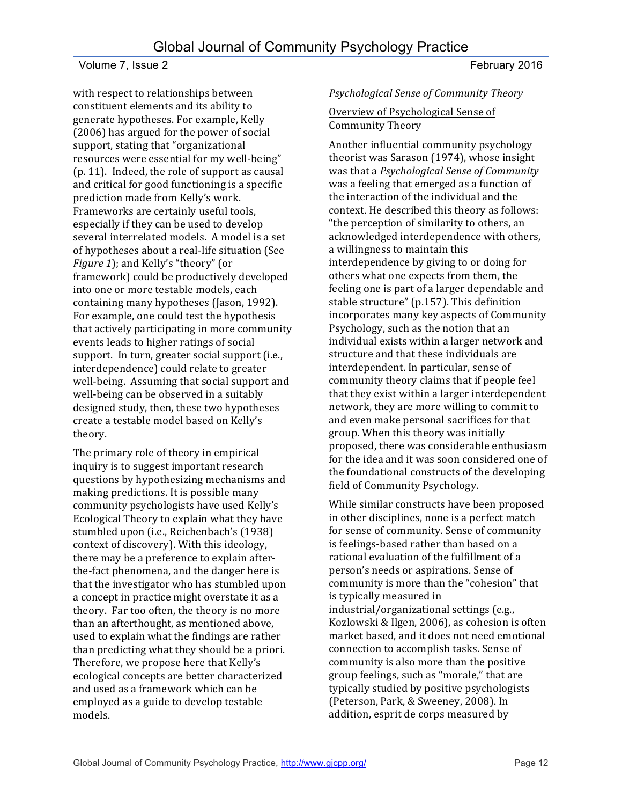with respect to relationships between constituent elements and its ability to generate hypotheses. For example, Kelly (2006) has argued for the power of social support, stating that "organizational resources were essential for my well-being"  $(p. 11)$ . Indeed, the role of support as causal and critical for good functioning is a specific prediction made from Kelly's work. Frameworks are certainly useful tools, especially if they can be used to develop several interrelated models. A model is a set of hypotheses about a real-life situation (See *Figure 1*); and Kelly's "theory" (or framework) could be productively developed into one or more testable models, each containing many hypotheses (Jason, 1992). For example, one could test the hypothesis that actively participating in more community events leads to higher ratings of social support. In turn, greater social support (i.e., interdependence) could relate to greater well-being. Assuming that social support and well-being can be observed in a suitably designed study, then, these two hypotheses create a testable model based on Kelly's theory.

The primary role of theory in empirical inquiry is to suggest important research questions by hypothesizing mechanisms and making predictions. It is possible many community psychologists have used Kelly's Ecological Theory to explain what they have stumbled upon (i.e., Reichenbach's (1938) context of discovery). With this ideology, there may be a preference to explain afterthe-fact phenomena, and the danger here is that the investigator who has stumbled upon a concept in practice might overstate it as a theory. Far too often, the theory is no more than an afterthought, as mentioned above, used to explain what the findings are rather than predicting what they should be a priori. Therefore, we propose here that Kelly's ecological concepts are better characterized and used as a framework which can be employed as a guide to develop testable models.

#### *Psychological Sense of Community Theory*

#### Overview of Psychological Sense of Community Theory

Another influential community psychology theorist was Sarason (1974), whose insight was that a *Psychological Sense of Community* was a feeling that emerged as a function of the interaction of the individual and the context. He described this theory as follows: "the perception of similarity to others, an acknowledged interdependence with others, a willingness to maintain this interdependence by giving to or doing for others what one expects from them, the feeling one is part of a larger dependable and stable structure" (p.157). This definition incorporates many key aspects of Community Psychology, such as the notion that an individual exists within a larger network and structure and that these individuals are interdependent. In particular, sense of community theory claims that if people feel that they exist within a larger interdependent network, they are more willing to commit to and even make personal sacrifices for that group. When this theory was initially proposed, there was considerable enthusiasm for the idea and it was soon considered one of the foundational constructs of the developing field of Community Psychology.

While similar constructs have been proposed in other disciplines, none is a perfect match for sense of community. Sense of community is feelings-based rather than based on a rational evaluation of the fulfillment of a person's needs or aspirations. Sense of community is more than the "cohesion" that is typically measured in industrial/organizational settings (e.g., Kozlowski & Ilgen, 2006), as cohesion is often market based, and it does not need emotional connection to accomplish tasks. Sense of community is also more than the positive group feelings, such as "morale," that are typically studied by positive psychologists (Peterson, Park, & Sweeney, 2008). In addition, esprit de corps measured by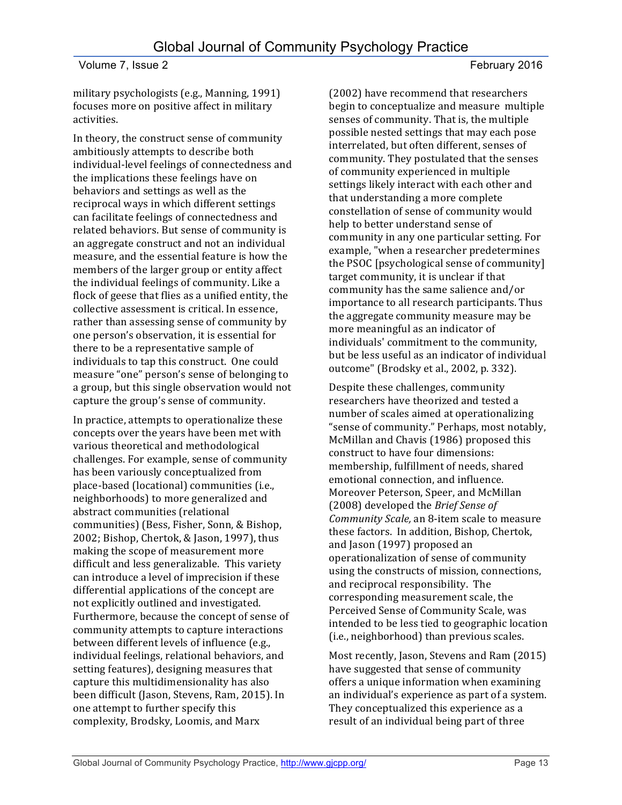military psychologists (e.g., Manning, 1991) focuses more on positive affect in military activities.

In theory, the construct sense of community ambitiously attempts to describe both individual-level feelings of connectedness and the implications these feelings have on behaviors and settings as well as the reciprocal ways in which different settings can facilitate feelings of connectedness and related behaviors. But sense of community is an aggregate construct and not an individual measure, and the essential feature is how the members of the larger group or entity affect the individual feelings of community. Like a flock of geese that flies as a unified entity, the collective assessment is critical. In essence, rather than assessing sense of community by one person's observation, it is essential for there to be a representative sample of individuals to tap this construct. One could measure "one" person's sense of belonging to a group, but this single observation would not capture the group's sense of community.

In practice, attempts to operationalize these concepts over the years have been met with various theoretical and methodological challenges. For example, sense of community has been variously conceptualized from place-based (locational) communities (i.e., neighborhoods) to more generalized and abstract communities (relational communities) (Bess, Fisher, Sonn, & Bishop, 2002; Bishop, Chertok, & Jason, 1997), thus making the scope of measurement more difficult and less generalizable. This variety can introduce a level of imprecision if these differential applications of the concept are not explicitly outlined and investigated. Furthermore, because the concept of sense of community attempts to capture interactions between different levels of influence (e.g., individual feelings, relational behaviors, and setting features), designing measures that capture this multidimensionality has also been difficult (Jason, Stevens, Ram, 2015). In one attempt to further specify this complexity, Brodsky, Loomis, and Marx

(2002) have recommend that researchers begin to conceptualize and measure multiple senses of community. That is, the multiple possible nested settings that may each pose interrelated, but often different, senses of community. They postulated that the senses of community experienced in multiple settings likely interact with each other and that understanding a more complete constellation of sense of community would help to better understand sense of community in any one particular setting. For example, "when a researcher predetermines the PSOC [psychological sense of community] target community, it is unclear if that community has the same salience and/or importance to all research participants. Thus the aggregate community measure may be more meaningful as an indicator of individuals' commitment to the community, but be less useful as an indicator of individual outcome" (Brodsky et al., 2002, p. 332).

Despite these challenges, community researchers have theorized and tested a number of scales aimed at operationalizing "sense of community." Perhaps, most notably, McMillan and Chavis (1986) proposed this construct to have four dimensions: membership, fulfillment of needs, shared emotional connection, and influence. Moreover Peterson, Speer, and McMillan (2008) developed the *Brief Sense of Community Scale,* an 8-item scale to measure these factors. In addition, Bishop, Chertok, and Jason (1997) proposed an operationalization of sense of community using the constructs of mission, connections, and reciprocal responsibility. The corresponding measurement scale, the Perceived Sense of Community Scale, was intended to be less tied to geographic location (i.e., neighborhood) than previous scales.

Most recently, Jason, Stevens and Ram (2015) have suggested that sense of community offers a unique information when examining an individual's experience as part of a system. They conceptualized this experience as a result of an individual being part of three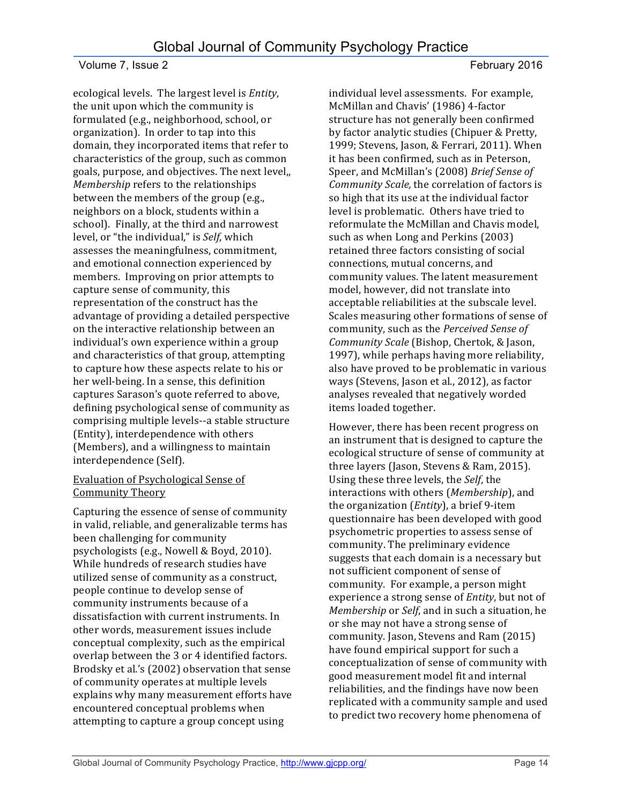ecological levels. The largest level is *Entity*, the unit upon which the community is formulated (e.g., neighborhood, school, or organization). In order to tap into this domain, they incorporated items that refer to characteristics of the group, such as common goals, purpose, and objectives. The next level, *Membership* refers to the relationships between the members of the group (e.g., neighbors on a block, students within a school). Finally, at the third and narrowest level, or "the individual," is *Self*, which assesses the meaningfulness, commitment, and emotional connection experienced by members. Improving on prior attempts to capture sense of community, this representation of the construct has the advantage of providing a detailed perspective on the interactive relationship between an individual's own experience within a group and characteristics of that group, attempting to capture how these aspects relate to his or her well-being. In a sense, this definition captures Sarason's quote referred to above, defining psychological sense of community as comprising multiple levels--a stable structure (Entity), interdependence with others (Members), and a willingness to maintain interdependence (Self).

#### Evaluation of Psychological Sense of Community Theory

Capturing the essence of sense of community in valid, reliable, and generalizable terms has been challenging for community psychologists (e.g., Nowell & Boyd, 2010). While hundreds of research studies have utilized sense of community as a construct, people continue to develop sense of community instruments because of a dissatisfaction with current instruments. In other words, measurement issues include conceptual complexity, such as the empirical overlap between the 3 or 4 identified factors. Brodsky et al.'s (2002) observation that sense of community operates at multiple levels explains why many measurement efforts have encountered conceptual problems when attempting to capture a group concept using

individual level assessments. For example, McMillan and Chavis' (1986) 4-factor structure has not generally been confirmed by factor analytic studies (Chipuer & Pretty, 1999; Stevens, Jason, & Ferrari, 2011). When it has been confirmed, such as in Peterson, Speer, and McMillan's (2008) *Brief Sense of Community Scale,* the correlation of factors is so high that its use at the individual factor level is problematic. Others have tried to reformulate the McMillan and Chavis model, such as when Long and Perkins (2003) retained three factors consisting of social connections, mutual concerns, and community values. The latent measurement model, however, did not translate into acceptable reliabilities at the subscale level. Scales measuring other formations of sense of community, such as the Perceived Sense of *Community Scale* (Bishop, Chertok, & Jason, 1997), while perhaps having more reliability, also have proved to be problematic in various ways (Stevens, Jason et al., 2012), as factor analyses revealed that negatively worded items loaded together.

However, there has been recent progress on an instrument that is designed to capture the ecological structure of sense of community at three layers (Jason, Stevens & Ram, 2015). Using these three levels, the *Self*, the interactions with others (*Membership*), and the organization (*Entity*), a brief 9-item questionnaire has been developed with good psychometric properties to assess sense of community. The preliminary evidence suggests that each domain is a necessary but not sufficient component of sense of community. For example, a person might experience a strong sense of *Entity*, but not of *Membership* or *Self*, and in such a situation, he or she may not have a strong sense of community. Jason, Stevens and Ram (2015) have found empirical support for such a conceptualization of sense of community with good measurement model fit and internal reliabilities, and the findings have now been replicated with a community sample and used to predict two recovery home phenomena of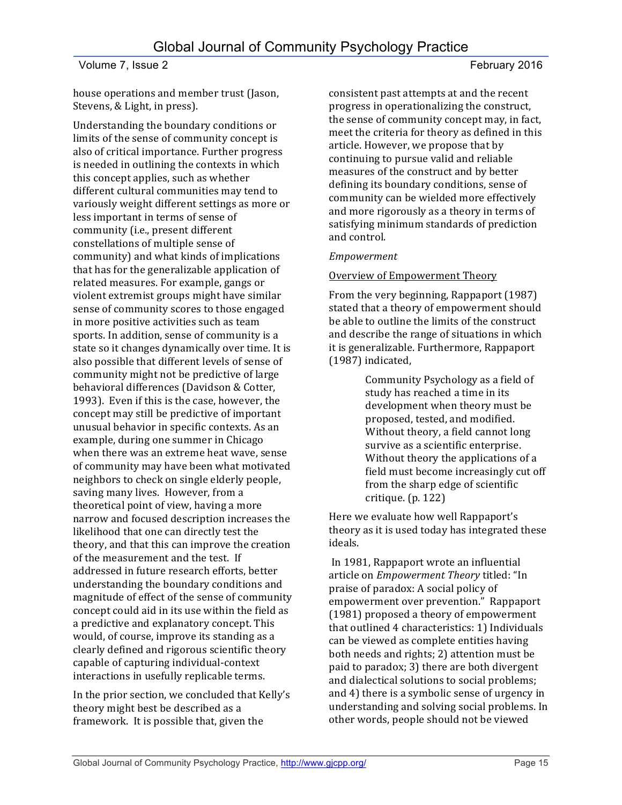house operations and member trust (Jason, Stevens, & Light, in press).

Understanding the boundary conditions or limits of the sense of community concept is also of critical importance. Further progress is needed in outlining the contexts in which this concept applies, such as whether different cultural communities may tend to variously weight different settings as more or less important in terms of sense of community (i.e., present different constellations of multiple sense of community) and what kinds of implications that has for the generalizable application of related measures. For example, gangs or violent extremist groups might have similar sense of community scores to those engaged in more positive activities such as team sports. In addition, sense of community is a state so it changes dynamically over time. It is also possible that different levels of sense of community might not be predictive of large behavioral differences (Davidson & Cotter, 1993). Even if this is the case, however, the concept may still be predictive of important unusual behavior in specific contexts. As an example, during one summer in Chicago when there was an extreme heat wave, sense of community may have been what motivated neighbors to check on single elderly people, saving many lives. However, from a theoretical point of view, having a more narrow and focused description increases the likelihood that one can directly test the theory, and that this can improve the creation of the measurement and the test. If addressed in future research efforts, better understanding the boundary conditions and magnitude of effect of the sense of community concept could aid in its use within the field as a predictive and explanatory concept. This would, of course, improve its standing as a clearly defined and rigorous scientific theory capable of capturing individual-context interactions in usefully replicable terms.

In the prior section, we concluded that Kelly's theory might best be described as a framework. It is possible that, given the

consistent past attempts at and the recent progress in operationalizing the construct, the sense of community concept may, in fact, meet the criteria for theory as defined in this article. However, we propose that by continuing to pursue valid and reliable measures of the construct and by better defining its boundary conditions, sense of community can be wielded more effectively and more rigorously as a theory in terms of satisfying minimum standards of prediction and control.

#### *Empowerment*

#### Overview of Empowerment Theory

From the very beginning, Rappaport (1987) stated that a theory of empowerment should be able to outline the limits of the construct and describe the range of situations in which it is generalizable. Furthermore, Rappaport (1987) indicated,

> Community Psychology as a field of study has reached a time in its development when theory must be proposed, tested, and modified. Without theory, a field cannot long survive as a scientific enterprise. Without theory the applications of a field must become increasingly cut off from the sharp edge of scientific critique. (p. 122)

Here we evaluate how well Rappaport's theory as it is used today has integrated these ideals.

In 1981, Rappaport wrote an influential article on *Empowerment Theory* titled: "In praise of paradox: A social policy of empowerment over prevention." Rappaport (1981) proposed a theory of empowerment that outlined 4 characteristics: 1) Individuals can be viewed as complete entities having both needs and rights; 2) attention must be paid to paradox; 3) there are both divergent and dialectical solutions to social problems; and 4) there is a symbolic sense of urgency in understanding and solving social problems. In other words, people should not be viewed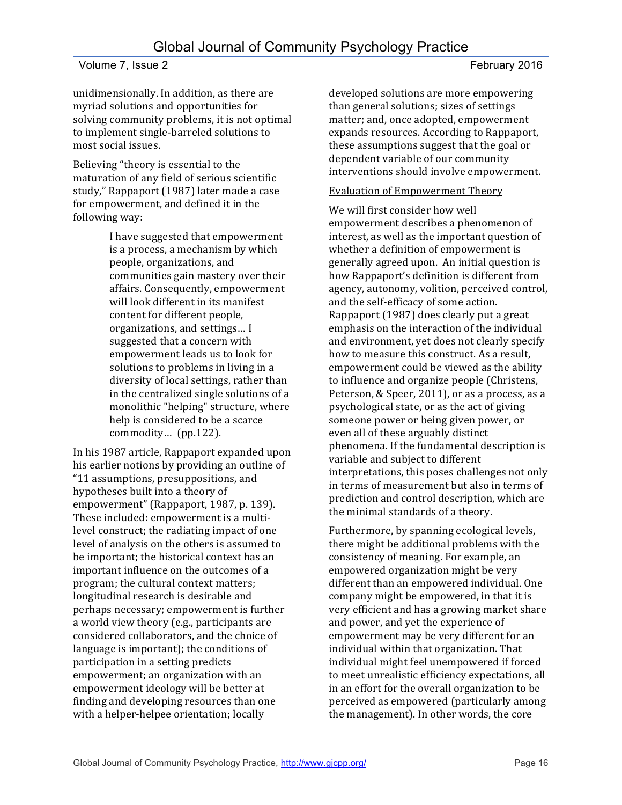unidimensionally. In addition, as there are myriad solutions and opportunities for solving community problems, it is not optimal to implement single-barreled solutions to most social issues.

Believing "theory is essential to the maturation of any field of serious scientific study," Rappaport (1987) later made a case for empowerment, and defined it in the following way:

> I have suggested that empowerment is a process, a mechanism by which people, organizations, and communities gain mastery over their affairs. Consequently, empowerment will look different in its manifest content for different people, organizations, and settings... I suggested that a concern with empowerment leads us to look for solutions to problems in living in a diversity of local settings, rather than in the centralized single solutions of a monolithic "helping" structure, where help is considered to be a scarce commodity... (pp.122).

In his 1987 article, Rappaport expanded upon his earlier notions by providing an outline of "11 assumptions, presuppositions, and hypotheses built into a theory of empowerment" (Rappaport, 1987, p. 139). These included: empowerment is a multilevel construct; the radiating impact of one level of analysis on the others is assumed to be important; the historical context has an important influence on the outcomes of a program; the cultural context matters; longitudinal research is desirable and perhaps necessary; empowerment is further a world view theory (e.g., participants are considered collaborators, and the choice of language is important); the conditions of participation in a setting predicts empowerment; an organization with an empowerment ideology will be better at finding and developing resources than one with a helper-helpee orientation; locally

developed solutions are more empowering than general solutions; sizes of settings matter; and, once adopted, empowerment expands resources. According to Rappaport, these assumptions suggest that the goal or dependent variable of our community interventions should involve empowerment.

### Evaluation of Empowerment Theory

We will first consider how well empowerment describes a phenomenon of interest, as well as the important question of whether a definition of empowerment is generally agreed upon. An initial question is how Rappaport's definition is different from agency, autonomy, volition, perceived control, and the self-efficacy of some action. Rappaport (1987) does clearly put a great emphasis on the interaction of the individual and environment, yet does not clearly specify how to measure this construct. As a result, empowerment could be viewed as the ability to influence and organize people (Christens, Peterson, & Speer, 2011), or as a process, as a psychological state, or as the act of giving someone power or being given power, or even all of these arguably distinct phenomena. If the fundamental description is variable and subject to different interpretations, this poses challenges not only in terms of measurement but also in terms of prediction and control description, which are the minimal standards of a theory.

Furthermore, by spanning ecological levels, there might be additional problems with the consistency of meaning. For example, an empowered organization might be very different than an empowered individual. One company might be empowered, in that it is very efficient and has a growing market share and power, and yet the experience of empowerment may be very different for an individual within that organization. That individual might feel unempowered if forced to meet unrealistic efficiency expectations, all in an effort for the overall organization to be perceived as empowered (particularly among the management). In other words, the core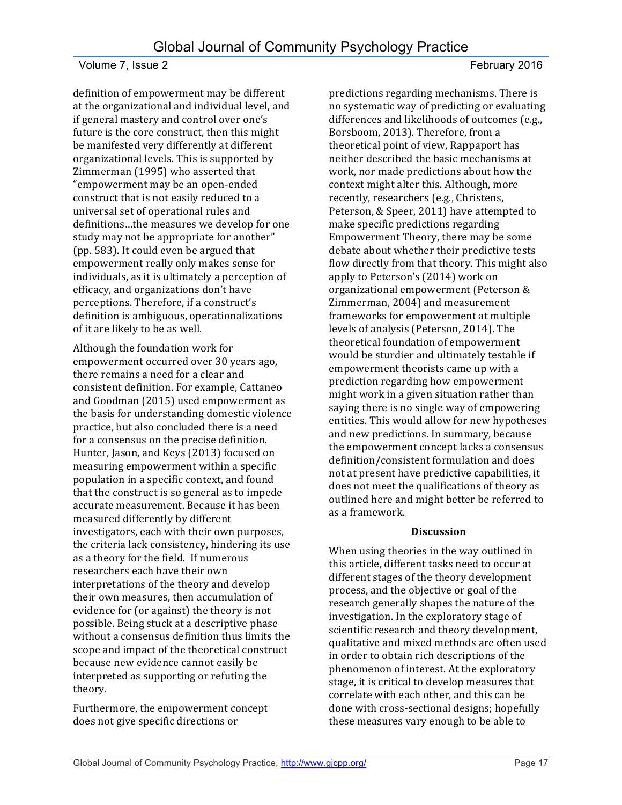definition of empowerment may be different at the organizational and individual level, and if general mastery and control over one's future is the core construct, then this might be manifested very differently at different organizational levels. This is supported by Zimmerman (1995) who asserted that "empowerment may be an open-ended construct that is not easily reduced to a universal set of operational rules and definitions...the measures we develop for one study may not be appropriate for another" (pp. 583). It could even be argued that empowerment really only makes sense for individuals, as it is ultimately a perception of efficacy, and organizations don't have perceptions. Therefore, if a construct's definition is ambiguous, operationalizations of it are likely to be as well.

Although the foundation work for empowerment occurred over 30 years ago, there remains a need for a clear and consistent definition. For example, Cattaneo and Goodman (2015) used empowerment as the basis for understanding domestic violence practice, but also concluded there is a need for a consensus on the precise definition. Hunter, Jason, and Keys (2013) focused on measuring empowerment within a specific population in a specific context, and found that the construct is so general as to impede accurate measurement. Because it has been measured differently by different investigators, each with their own purposes, the criteria lack consistency, hindering its use as a theory for the field. If numerous researchers each have their own interpretations of the theory and develop their own measures, then accumulation of evidence for (or against) the theory is not possible. Being stuck at a descriptive phase without a consensus definition thus limits the scope and impact of the theoretical construct because new evidence cannot easily be interpreted as supporting or refuting the theory.

Furthermore, the empowerment concept does not give specific directions or

predictions regarding mechanisms. There is no systematic way of predicting or evaluating differences and likelihoods of outcomes (e.g., Borsboom, 2013). Therefore, from a theoretical point of view, Rappaport has neither described the basic mechanisms at work, nor made predictions about how the context might alter this. Although, more recently, researchers (e.g., Christens, Peterson, & Speer, 2011) have attempted to make specific predictions regarding Empowerment Theory, there may be some debate about whether their predictive tests flow directly from that theory. This might also apply to Peterson's (2014) work on organizational empowerment (Peterson & Zimmerman, 2004) and measurement frameworks for empowerment at multiple levels of analysis (Peterson, 2014). The theoretical foundation of empowerment would be sturdier and ultimately testable if empowerment theorists came up with a prediction regarding how empowerment might work in a given situation rather than saying there is no single way of empowering entities. This would allow for new hypotheses and new predictions. In summary, because the empowerment concept lacks a consensus definition/consistent formulation and does not at present have predictive capabilities, it does not meet the qualifications of theory as outlined here and might better be referred to as a framework.

## **Discussion**

When using theories in the way outlined in this article, different tasks need to occur at different stages of the theory development process, and the objective or goal of the research generally shapes the nature of the investigation. In the exploratory stage of scientific research and theory development, qualitative and mixed methods are often used in order to obtain rich descriptions of the phenomenon of interest. At the exploratory stage, it is critical to develop measures that correlate with each other, and this can be done with cross-sectional designs; hopefully these measures vary enough to be able to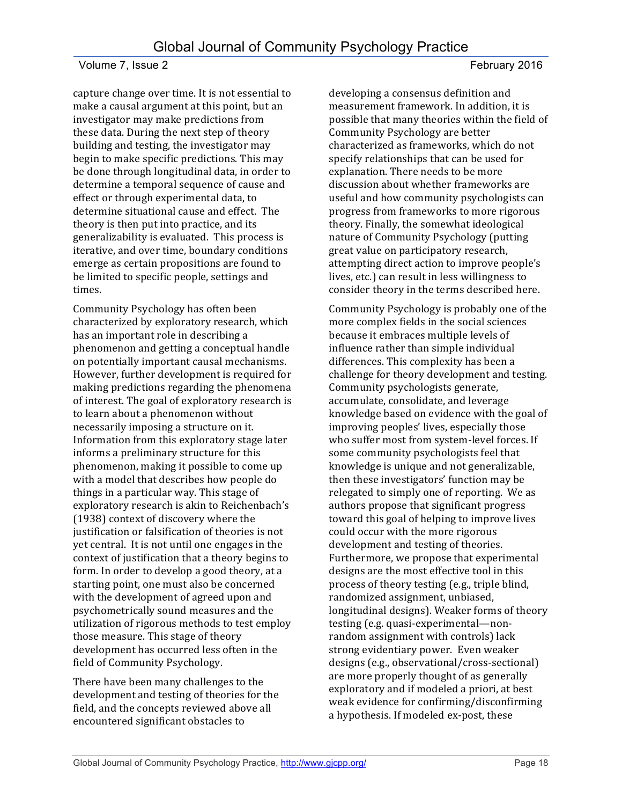capture change over time. It is not essential to make a causal argument at this point, but an investigator may make predictions from these data. During the next step of theory building and testing, the investigator may begin to make specific predictions. This may be done through longitudinal data, in order to determine a temporal sequence of cause and effect or through experimental data, to determine situational cause and effect. The theory is then put into practice, and its generalizability is evaluated. This process is iterative, and over time, boundary conditions emerge as certain propositions are found to be limited to specific people, settings and times. 

Community Psychology has often been characterized by exploratory research, which has an important role in describing a phenomenon and getting a conceptual handle on potentially important causal mechanisms. However, further development is required for making predictions regarding the phenomena of interest. The goal of exploratory research is to learn about a phenomenon without necessarily imposing a structure on it. Information from this exploratory stage later informs a preliminary structure for this phenomenon, making it possible to come up with a model that describes how people do things in a particular way. This stage of exploratory research is akin to Reichenbach's (1938) context of discovery where the justification or falsification of theories is not yet central. It is not until one engages in the context of justification that a theory begins to form. In order to develop a good theory, at a starting point, one must also be concerned with the development of agreed upon and psychometrically sound measures and the utilization of rigorous methods to test employ those measure. This stage of theory development has occurred less often in the field of Community Psychology.

There have been many challenges to the development and testing of theories for the field, and the concepts reviewed above all encountered significant obstacles to

developing a consensus definition and measurement framework. In addition, it is possible that many theories within the field of Community Psychology are better characterized as frameworks, which do not specify relationships that can be used for explanation. There needs to be more discussion about whether frameworks are useful and how community psychologists can progress from frameworks to more rigorous theory. Finally, the somewhat ideological nature of Community Psychology (putting great value on participatory research, attempting direct action to improve people's lives, etc.) can result in less willingness to consider theory in the terms described here.

Community Psychology is probably one of the more complex fields in the social sciences because it embraces multiple levels of influence rather than simple individual differences. This complexity has been a challenge for theory development and testing. Community psychologists generate, accumulate, consolidate, and leverage knowledge based on evidence with the goal of improving peoples' lives, especially those who suffer most from system-level forces. If some community psychologists feel that knowledge is unique and not generalizable, then these investigators' function may be relegated to simply one of reporting. We as authors propose that significant progress toward this goal of helping to improve lives could occur with the more rigorous development and testing of theories. Furthermore, we propose that experimental designs are the most effective tool in this process of theory testing (e.g., triple blind, randomized assignment, unbiased, longitudinal designs). Weaker forms of theory testing (e.g. quasi-experimental—nonrandom assignment with controls) lack strong evidentiary power. Even weaker designs (e.g., observational/cross-sectional) are more properly thought of as generally exploratory and if modeled a priori, at best weak evidence for confirming/disconfirming a hypothesis. If modeled ex-post, these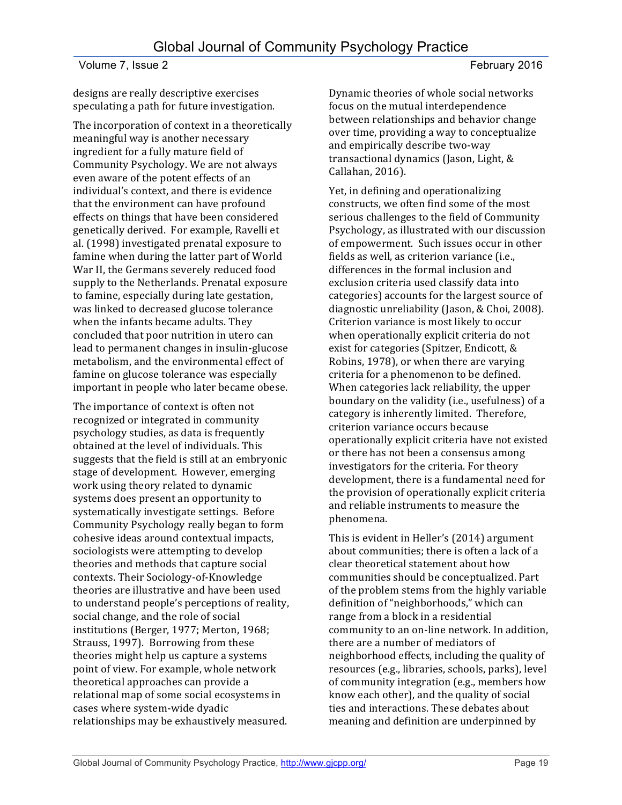designs are really descriptive exercises speculating a path for future investigation.

The incorporation of context in a theoretically meaningful way is another necessary ingredient for a fully mature field of Community Psychology. We are not always even aware of the potent effects of an individual's context, and there is evidence that the environment can have profound effects on things that have been considered genetically derived. For example, Ravelli et al. (1998) investigated prenatal exposure to famine when during the latter part of World War II, the Germans severely reduced food supply to the Netherlands. Prenatal exposure to famine, especially during late gestation, was linked to decreased glucose tolerance when the infants became adults. They concluded that poor nutrition in utero can lead to permanent changes in insulin-glucose metabolism, and the environmental effect of famine on glucose tolerance was especially important in people who later became obese.

The importance of context is often not recognized or integrated in community psychology studies, as data is frequently obtained at the level of individuals. This suggests that the field is still at an embryonic stage of development. However, emerging work using theory related to dynamic systems does present an opportunity to systematically investigate settings. Before Community Psychology really began to form cohesive ideas around contextual impacts, sociologists were attempting to develop theories and methods that capture social contexts. Their Sociology-of-Knowledge theories are illustrative and have been used to understand people's perceptions of reality, social change, and the role of social institutions (Berger, 1977; Merton, 1968; Strauss, 1997). Borrowing from these theories might help us capture a systems point of view. For example, whole network theoretical approaches can provide a relational map of some social ecosystems in cases where system-wide dyadic relationships may be exhaustively measured.

Dynamic theories of whole social networks focus on the mutual interdependence between relationships and behavior change over time, providing a way to conceptualize and empirically describe two-way transactional dynamics (Jason, Light, & Callahan, 2016).

Yet, in defining and operationalizing constructs, we often find some of the most serious challenges to the field of Community Psychology, as illustrated with our discussion of empowerment. Such issues occur in other fields as well, as criterion variance (i.e., differences in the formal inclusion and exclusion criteria used classify data into categories) accounts for the largest source of diagnostic unreliability (Jason, & Choi, 2008). Criterion variance is most likely to occur when operationally explicit criteria do not exist for categories (Spitzer, Endicott, & Robins, 1978), or when there are varying criteria for a phenomenon to be defined. When categories lack reliability, the upper boundary on the validity (i.e., usefulness) of a category is inherently limited. Therefore, criterion variance occurs because operationally explicit criteria have not existed or there has not been a consensus among investigators for the criteria. For theory development, there is a fundamental need for the provision of operationally explicit criteria and reliable instruments to measure the phenomena.

This is evident in Heller's (2014) argument about communities; there is often a lack of a clear theoretical statement about how communities should be conceptualized. Part of the problem stems from the highly variable definition of "neighborhoods," which can range from a block in a residential community to an on-line network. In addition, there are a number of mediators of neighborhood effects, including the quality of resources (e.g., libraries, schools, parks), level of community integration (e.g., members how know each other), and the quality of social ties and interactions. These debates about meaning and definition are underpinned by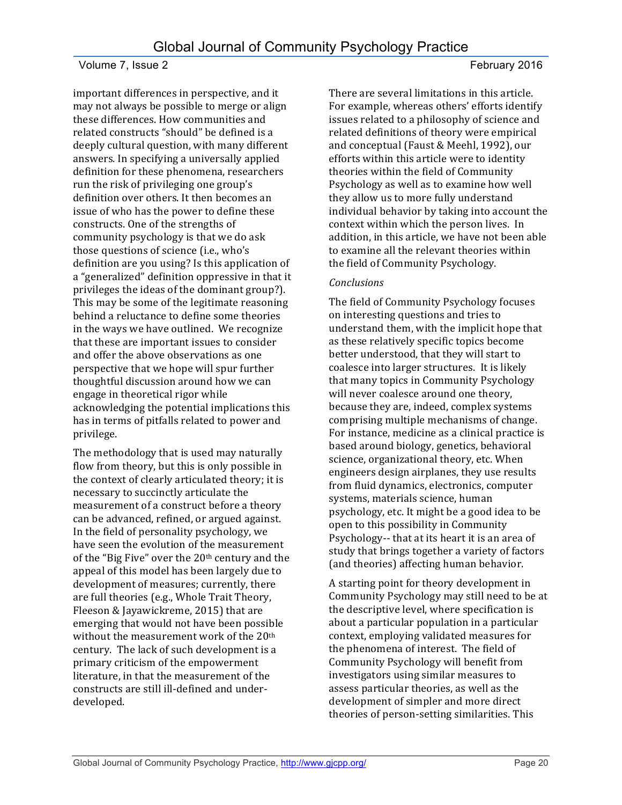important differences in perspective, and it may not always be possible to merge or align these differences. How communities and related constructs "should" be defined is a deeply cultural question, with many different answers. In specifying a universally applied definition for these phenomena, researchers run the risk of privileging one group's definition over others. It then becomes an issue of who has the power to define these constructs. One of the strengths of community psychology is that we do ask those questions of science (i.e., who's definition are you using? Is this application of a "generalized" definition oppressive in that it privileges the ideas of the dominant group?). This may be some of the legitimate reasoning behind a reluctance to define some theories in the ways we have outlined. We recognize that these are important issues to consider and offer the above observations as one perspective that we hope will spur further thoughtful discussion around how we can engage in theoretical rigor while acknowledging the potential implications this has in terms of pitfalls related to power and privilege. 

The methodology that is used may naturally flow from theory, but this is only possible in the context of clearly articulated theory; it is necessary to succinctly articulate the measurement of a construct before a theory can be advanced, refined, or argued against. In the field of personality psychology, we have seen the evolution of the measurement of the "Big Five" over the  $20<sup>th</sup>$  century and the appeal of this model has been largely due to development of measures; currently, there are full theories (e.g., Whole Trait Theory, Fleeson & Jayawickreme, 2015) that are emerging that would not have been possible without the measurement work of the 20<sup>th</sup> century. The lack of such development is a primary criticism of the empowerment literature, in that the measurement of the constructs are still ill-defined and underdeveloped. 

There are several limitations in this article. For example, whereas others' efforts identify issues related to a philosophy of science and related definitions of theory were empirical and conceptual (Faust & Meehl, 1992), our efforts within this article were to identity

theories within the field of Community Psychology as well as to examine how well they allow us to more fully understand individual behavior by taking into account the context within which the person lives. In addition, in this article, we have not been able to examine all the relevant theories within the field of Community Psychology.

#### *Conclusions*

The field of Community Psychology focuses on interesting questions and tries to understand them, with the implicit hope that as these relatively specific topics become better understood, that they will start to coalesce into larger structures. It is likely that many topics in Community Psychology will never coalesce around one theory, because they are, indeed, complex systems comprising multiple mechanisms of change. For instance, medicine as a clinical practice is based around biology, genetics, behavioral science, organizational theory, etc. When engineers design airplanes, they use results from fluid dynamics, electronics, computer systems, materials science, human psychology, etc. It might be a good idea to be open to this possibility in Community Psychology-- that at its heart it is an area of study that brings together a variety of factors (and theories) affecting human behavior.

A starting point for theory development in Community Psychology may still need to be at the descriptive level, where specification is about a particular population in a particular context, employing validated measures for the phenomena of interest. The field of Community Psychology will benefit from investigators using similar measures to assess particular theories, as well as the development of simpler and more direct theories of person-setting similarities. This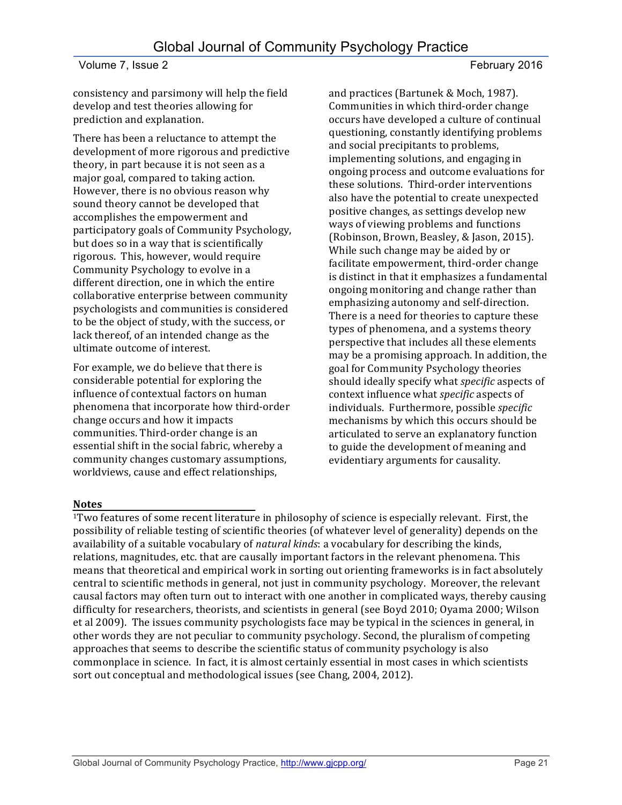consistency and parsimony will help the field develop and test theories allowing for prediction and explanation.

There has been a reluctance to attempt the development of more rigorous and predictive theory, in part because it is not seen as a major goal, compared to taking action. However, there is no obvious reason why sound theory cannot be developed that accomplishes the empowerment and participatory goals of Community Psychology, but does so in a way that is scientifically rigorous. This, however, would require Community Psychology to evolve in a different direction, one in which the entire collaborative enterprise between community psychologists and communities is considered to be the object of study, with the success, or lack thereof, of an intended change as the ultimate outcome of interest.

For example, we do believe that there is considerable potential for exploring the influence of contextual factors on human phenomena that incorporate how third-order change occurs and how it impacts communities. Third-order change is an essential shift in the social fabric, whereby a community changes customary assumptions, worldviews, cause and effect relationships,

and practices (Bartunek & Moch, 1987). Communities in which third-order change occurs have developed a culture of continual questioning, constantly identifying problems and social precipitants to problems, implementing solutions, and engaging in ongoing process and outcome evaluations for these solutions. Third-order interventions also have the potential to create unexpected positive changes, as settings develop new ways of viewing problems and functions (Robinson, Brown, Beasley, & Jason, 2015). While such change may be aided by or facilitate empowerment, third-order change is distinct in that it emphasizes a fundamental ongoing monitoring and change rather than emphasizing autonomy and self-direction. There is a need for theories to capture these types of phenomena, and a systems theory perspective that includes all these elements may be a promising approach. In addition, the goal for Community Psychology theories should ideally specify what *specific* aspects of context influence what *specific* aspects of individuals. Furthermore, possible *specific* mechanisms by which this occurs should be articulated to serve an explanatory function to guide the development of meaning and evidentiary arguments for causality.

#### **Notes**

<sup>1</sup>Two features of some recent literature in philosophy of science is especially relevant. First, the possibility of reliable testing of scientific theories (of whatever level of generality) depends on the availability of a suitable vocabulary of *natural kinds*: a vocabulary for describing the kinds, relations, magnitudes, etc. that are causally important factors in the relevant phenomena. This means that theoretical and empirical work in sorting out orienting frameworks is in fact absolutely central to scientific methods in general, not just in community psychology. Moreover, the relevant causal factors may often turn out to interact with one another in complicated ways, thereby causing difficulty for researchers, theorists, and scientists in general (see Boyd 2010; Oyama 2000; Wilson et al 2009). The issues community psychologists face may be typical in the sciences in general, in other words they are not peculiar to community psychology. Second, the pluralism of competing approaches that seems to describe the scientific status of community psychology is also commonplace in science. In fact, it is almost certainly essential in most cases in which scientists sort out conceptual and methodological issues (see Chang, 2004, 2012).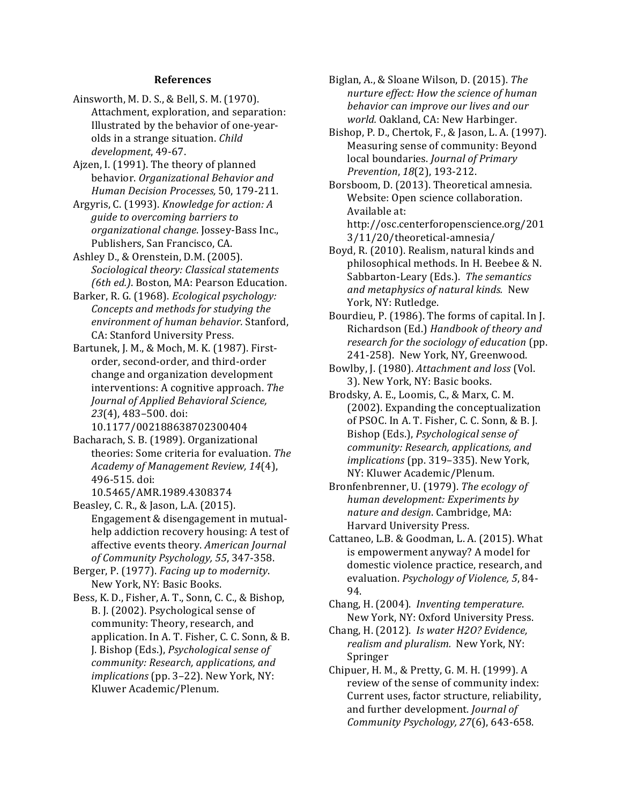#### **References**

- Ainsworth, M. D. S., & Bell, S. M. (1970). Attachment, exploration, and separation: Illustrated by the behavior of one-yearolds in a strange situation. *Child development*, 49-67.
- Ajzen, I. (1991). The theory of planned behavior. Organizational Behavior and *Human Decision Processes,* 50, 179-211.
- Argyris, C. (1993). *Knowledge for action: A guide to overcoming barriers to organizational change*. Jossey-Bass Inc., Publishers, San Francisco, CA.
- Ashley D., & Orenstein, D.M. (2005). *Sociological theory: Classical statements (6th ed.).* Boston, MA: Pearson Education.
- Barker, R. G. (1968). *Ecological psychology: Concepts and methods for studying the environment of human behavior.* Stanford, CA: Stanford University Press.
- Bartunek, J. M., & Moch, M. K. (1987). Firstorder, second-order, and third-order change and organization development interventions: A cognitive approach. *The Journal of Applied Behavioral Science,*  23(4), 483-500. doi:

10.1177/002188638702300404

Bacharach, S. B. (1989). Organizational theories: Some criteria for evaluation. *The Academy of Management Review, 14*(4), 496-515. doi: 

10.5465/AMR.1989.4308374 

- Beasley, C. R., & Jason, L.A. (2015). Engagement & disengagement in mutualhelp addiction recovery housing: A test of affective events theory. American Journal *of Community Psychology, 55*, 347-358.
- Berger, P. (1977). *Facing up to modernity*. New York, NY: Basic Books.
- Bess, K. D., Fisher, A. T., Sonn, C. C., & Bishop, B. J. (2002). Psychological sense of community: Theory, research, and application. In A. T. Fisher, C. C. Sonn, & B. J. Bishop (Eds.), *Psychological sense of*  community: Research, applications, and *implications* (pp. 3-22). New York, NY: Kluwer Academic/Plenum.
- Biglan, A., & Sloane Wilson, D. (2015). The *nurture effect: How the science of human* behavior can improve our lives and our *world.* Oakland, CA: New Harbinger.
- Bishop, P. D., Chertok, F., & Jason, L. A. (1997). Measuring sense of community: Beyond local boundaries. *Journal of Primary Prevention*, *18*(2), 193-212.
- Borsboom, D. (2013). Theoretical amnesia. Website: Open science collaboration. Available at: http://osc.centerforopenscience.org/201 3/11/20/theoretical-amnesia/
- Boyd, R. (2010). Realism, natural kinds and philosophical methods. In H. Beebee & N. Sabbarton-Leary (Eds.). The semantics *and metaphysics of natural kinds.*  New York, NY: Rutledge.
- Bourdieu, P. (1986). The forms of capital. In J. Richardson (Ed.) *Handbook of theory and research for the sociology of education* (pp. 241-258). New York, NY, Greenwood.
- Bowlby, J. (1980). Attachment and loss (Vol. 3). New York, NY: Basic books.
- Brodsky, A. E., Loomis, C., & Marx, C. M. (2002). Expanding the conceptualization of PSOC. In A. T. Fisher, C. C. Sonn, & B. J. Bishop (Eds.), *Psychological sense of* community: Research, applications, and *implications* (pp. 319-335). New York, NY: Kluwer Academic/Plenum.
- Bronfenbrenner, U. (1979). The ecology of *human development: Experiments by nature and design.* Cambridge, MA: Harvard University Press.
- Cattaneo, L.B. & Goodman, L. A. (2015). What is empowerment anyway? A model for domestic violence practice, research, and evaluation. *Psychology of Violence*, 5, 84-94.
- Chang, H. (2004). *Inventing temperature*. New York, NY: Oxford University Press.
- Chang, H. (2012). *Is water H2O? Evidence,*  realism and pluralism. New York, NY: Springer
- Chipuer, H. M., & Pretty, G. M. H. (1999). A review of the sense of community index: Current uses, factor structure, reliability, and further development. *Journal of Community Psychology, 27*(6), 643-658.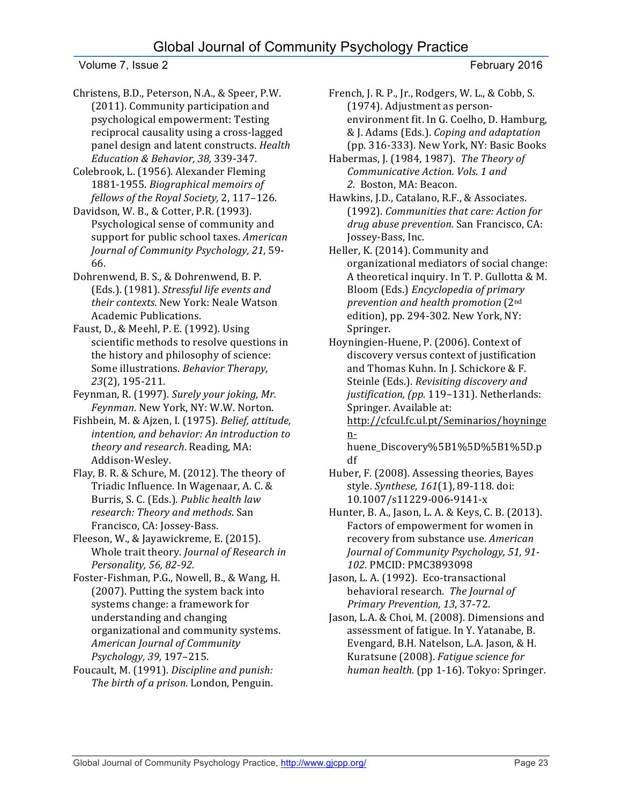Christens, B.D., Peterson, N.A., & Speer, P.W. (2011). Community participation and psychological empowerment: Testing reciprocal causality using a cross-lagged panel design and latent constructs. *Health Education & Behavior, 38,* 339-347.

Colebrook, L. (1956). Alexander Fleming 1881-1955. *Biographical memoirs of* fellows of the Royal Society, 2, 117-126.

Davidson, W. B., & Cotter, P.R. (1993). Psychological sense of community and support for public school taxes. *American* Journal of Community Psychology, 21, 59-66.

Dohrenwend, B. S., & Dohrenwend, B. P. (Eds.). (1981). *Stressful life events and* their contexts. New York: Neale Watson Academic Publications.

Faust, D., & Meehl, P. E. (1992). Using scientific methods to resolve questions in the history and philosophy of science: Some illustrations. Behavior Therapy, *23*(2), 195-211.

Feynman, R. (1997). Surely your joking, Mr. Feynman. New York, NY: W.W. Norton.

Fishbein, M. & Ajzen, I. (1975). *Belief, attitude,* intention, and behavior: An introduction to *theory and research*. Reading, MA: Addison-Wesley.

Flay, B. R. & Schure, M. (2012). The theory of Triadic Influence. In Wagenaar, A. C. & Burris, S. C. (Eds.). *Public health law research: Theory and methods*. San Francisco, CA: Jossey-Bass.

Fleeson, W., & Jayawickreme, E. (2015). Whole trait theory. *Journal of Research in Personality, 56, 82-92.*

Foster-Fishman, P.G., Nowell, B., & Wang, H. (2007). Putting the system back into systems change: a framework for understanding and changing organizational and community systems. *American Journal of Community Psychology, 39,* 197–215.

Foucault, M. (1991). *Discipline and punish: The birth of a prison*. London, Penguin.

French, J. R. P., Jr., Rodgers, W. L., & Cobb, S. (1974). Adjustment as personenvironment fit. In G. Coelho, D. Hamburg, & J. Adams (Eds.). *Coping and adaptation* (pp. 316-333). New York, NY: Basic Books

Habermas, J. (1984, 1987). *The Theory of Communicative Action. Vols. 1 and*  2. Boston, MA: Beacon.

Hawkins, J.D., Catalano, R.F., & Associates. (1992). *Communities that care: Action for*  drug abuse prevention. San Francisco, CA: Jossey-Bass, Inc.

Heller, K. (2014). Community and organizational mediators of social change: A theoretical inquiry. In T. P. Gullotta & M. Bloom (Eds.) *Encyclopedia of primary prevention and health promotion* (2nd edition), pp. 294-302. New York, NY: Springer.

Hoyningien-Huene, P. (2006). Context of discovery versus context of justification and Thomas Kuhn. In J. Schickore & F. Steinle (Eds.). *Revisiting discovery and* justification, (pp. 119-131). Netherlands: Springer. Available at:

http://cfcul.fc.ul.pt/Seminarios/hoyninge n-

huene\_Discovery%5B1%5D%5B1%5D.p df

Huber, F. (2008). Assessing theories, Bayes style. Synthese, 161(1), 89-118. doi: 10.1007/s11229-006-9141-x

Hunter, B. A., Jason, L. A. & Keys, C. B. (2013). Factors of empowerment for women in recovery from substance use. American *Journal of Community Psychology, 51, 91-*102. PMCID: PMC3893098

Jason, L. A. (1992). Eco-transactional behavioral research. The Journal of *Primary Prevention, 13*, 37-72.

Jason, L.A. & Choi, M. (2008). Dimensions and assessment of fatigue. In Y. Yatanabe, B. Evengard, B.H. Natelson, L.A. Jason, & H. Kuratsune (2008). *Fatigue science for* human health. (pp 1-16). Tokyo: Springer.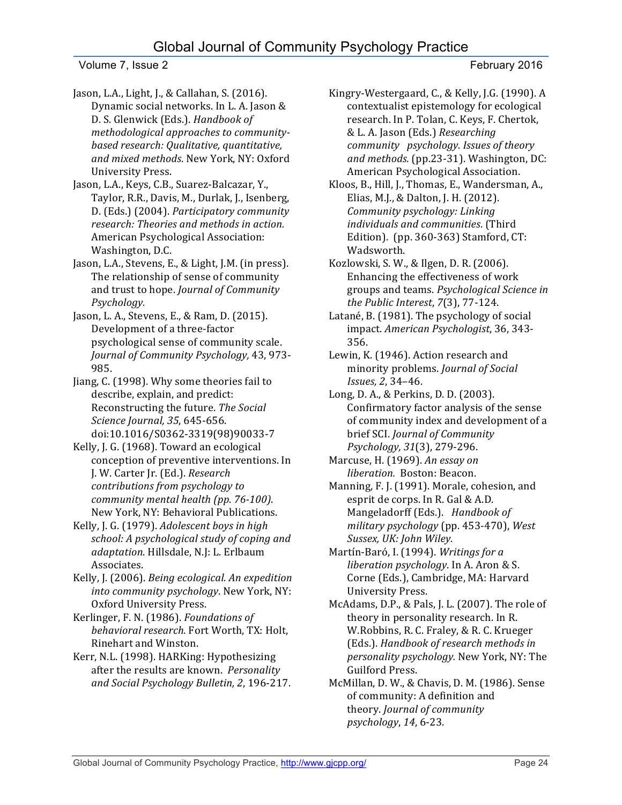# Global Journal of Community Psychology Practice

Volume 7, Issue 2 February 2016

- Jason, L.A., Light, J., & Callahan, S. (2016). Dynamic social networks. In L. A. Jason & D. S. Glenwick (Eds.). *Handbook of* methodological approaches to community*based research: Qualitative, quantitative,*  and mixed methods. New York, NY: Oxford University Press.
- Jason, L.A., Keys, C.B., Suarez-Balcazar, Y., Taylor, R.R., Davis, M., Durlak, J., Isenberg, D. (Eds.) (2004). *Participatory community research: Theories and methods in action.* American Psychological Association: Washington, D.C.
- Jason, L.A., Stevens, E., & Light, J.M. (in press). The relationship of sense of community and trust to hope. *Journal of Community Psychology.*
- Jason, L. A., Stevens, E., & Ram, D. (2015). Development of a three-factor psychological sense of community scale. *Journal of Community Psychology,* 43, 973- 985.
- Jiang, C. (1998). Why some theories fail to describe, explain, and predict: Reconstructing the future. The Social *Science Journal, 35*, 645-656. doi:10.1016/S0362-3319(98)90033-7
- Kelly, J. G. (1968). Toward an ecological conception of preventive interventions. In J. W. Carter Jr. (Ed.). *Research contributions from psychology to community mental health (pp. 76-100)*. New York, NY: Behavioral Publications.
- Kelly, J. G. (1979). *Adolescent boys in high* school: A psychological study of coping and adaptation. Hillsdale, N.J: L. Erlbaum Associates.
- Kelly, J. (2006). *Being ecological. An expedition* into community psychology. New York, NY: Oxford University Press.
- Kerlinger, F. N. (1986). *Foundations of* behavioral research. Fort Worth, TX: Holt, Rinehart and Winston.
- Kerr, N.L. (1998). HARKing: Hypothesizing after the results are known. *Personality and Social Psychology Bulletin, 2*, 196-217.
- Kingry-Westergaard, C., & Kelly, J.G. (1990). A contextualist epistemology for ecological research. In P. Tolan, C. Keys, F. Chertok, & L. A. Jason (Eds.) *Researching community psychology. Issues of theory and methods.* (pp.23-31). Washington, DC: American Psychological Association.
- Kloos, B., Hill, J., Thomas, E., Wandersman, A., Elias, M.J., & Dalton, J. H. (2012). *Community psychology: Linking* individuals and communities. (Third Edition). (pp.  $360-363$ ) Stamford, CT: Wadsworth.
- Kozlowski, S. W., & Ilgen, D. R. (2006). Enhancing the effectiveness of work groups and teams. *Psychological Science in the Public Interest*, *7*(3), 77-124.
- Latané, B. (1981). The psychology of social impact. *American Psychologist*, 36, 343-356.
- Lewin, K. (1946). Action research and minority problems. *Journal of Social Issues, 2*, 34–46.
- Long, D. A., & Perkins, D. D. (2003). Confirmatory factor analysis of the sense of community index and development of a brief SCI. *Journal of Community Psychology, 31*(3), 279-296.
- Marcuse, H. (1969). An essay on *liberation.* Boston: Beacon.
- Manning, F. J. (1991). Morale, cohesion, and esprit de corps. In R. Gal & A.D. Mangeladorff (Eds.). Handbook of *military psychology* (pp. 453-470), *West*  Sussex, UK: John Wiley.
- Martín-Baró, I. (1994). Writings for a *liberation psychology*. In A. Aron & S. Corne (Eds.), Cambridge, MA: Harvard University Press.
- McAdams, D.P., & Pals, J. L. (2007). The role of theory in personality research. In R. W.Robbins, R. C. Fraley, & R. C. Krueger (Eds.). *Handbook of research methods in personality psychology.* New York, NY: The Guilford Press.
- McMillan, D. W., & Chavis, D. M. (1986). Sense of community: A definition and theory. *Journal of community psychology*, *14*, 6-23.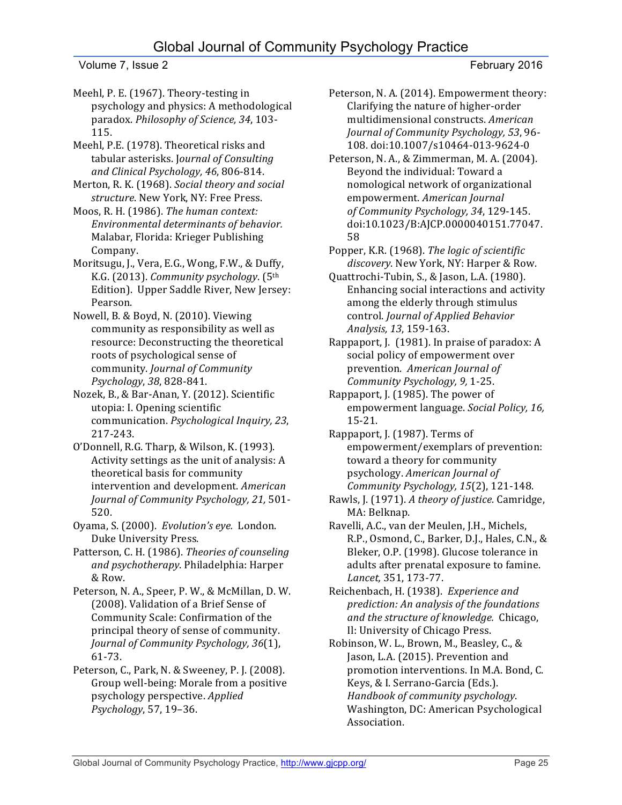Meehl, P. E. (1967). Theory-testing in psychology and physics: A methodological paradox. *Philosophy of Science, 34*, 103- 115.

Meehl, P.E. (1978). Theoretical risks and tabular asterisks. Journal of Consulting *and Clinical Psychology, 46*, 806-814.

Merton, R. K. (1968). *Social theory and social structure*. New York, NY: Free Press.

Moos, R. H. (1986). *The human context: Environmental determinants of behavior.* Malabar, Florida: Krieger Publishing Company.

Moritsugu, J., Vera, E.G., Wong, F.W., & Duffy, K.G. (2013). *Community psychology*. (5th Edition). Upper Saddle River, New Jersey: Pearson. 

Nowell, B. & Boyd, N. (2010). Viewing community as responsibility as well as resource: Deconstructing the theoretical roots of psychological sense of community. *Journal of Community Psychology*, *38*, 828-841. 

Nozek, B., & Bar-Anan, Y. (2012). Scientific utopia: I. Opening scientific communication. *Psychological Inquiry, 23*, 217-243.

O'Donnell, R.G. Tharp, & Wilson, K. (1993). Activity settings as the unit of analysis: A theoretical basis for community intervention and development. American *Journal of Community Psychology, 21,* 501- 520.

Oyama, S. (2000). Evolution's eye. London. Duke University Press.

Patterson, C. H. (1986). Theories of counseling *and psychotherapy*. Philadelphia: Harper & Row.

Peterson, N. A., Speer, P. W., & McMillan, D. W. (2008). Validation of a Brief Sense of Community Scale: Confirmation of the principal theory of sense of community. *Journal of Community Psychology, 36*(1), 61-73.

Peterson, C., Park, N. & Sweeney, P. J. (2008). Group well-being: Morale from a positive psychology perspective. *Applied Psychology*, 57, 19–36.

Peterson, N. A. (2014). Empowerment theory: Clarifying the nature of higher-order multidimensional constructs. *American Journal of Community Psychology, 53*, 96- 108. doi:10.1007/s10464-013-9624-0

Peterson, N. A., & Zimmerman, M. A. (2004). Beyond the individual: Toward a nomological network of organizational empowerment. *American Journal of Community Psychology, 34*, 129-145. doi:10.1023/B:AJCP.0000040151.77047. 58

Popper, K.R. (1968). The logic of scientific discovery. New York, NY: Harper & Row.

Quattrochi-Tubin, S., & Jason, L.A. (1980). Enhancing social interactions and activity among the elderly through stimulus control. *Journal of Applied Behavior Analysis, 13*, 159-163.

Rappaport, J.  $(1981)$ . In praise of paradox: A social policy of empowerment over prevention. American Journal of *Community Psychology, 9,* 1-25.

Rappaport, J. (1985). The power of empowerment language. *Social Policy*, 16, 15-21.

Rappaport, J. (1987). Terms of empowerment/exemplars of prevention: toward a theory for community psychology. *American Journal of Community Psychology, 15*(2), 121-148.

Rawls, J. (1971). A theory of justice. Camridge, MA: Belknap.

Ravelli, A.C., van der Meulen, J.H., Michels, R.P., Osmond, C., Barker, D.J., Hales, C.N., & Bleker, O.P. (1998). Glucose tolerance in adults after prenatal exposure to famine. *Lancet,* 351, 173-77.

Reichenbach, H. (1938). Experience and *prediction: An analysis of the foundations and the structure of knowledge.* Chicago, Il: University of Chicago Press.

Robinson, W. L., Brown, M., Beasley, C., & Jason, L.A. (2015). Prevention and promotion interventions. In M.A. Bond, C. Keys, & I. Serrano-Garcia (Eds.). *Handbook of community psychology*. Washington, DC: American Psychological Association.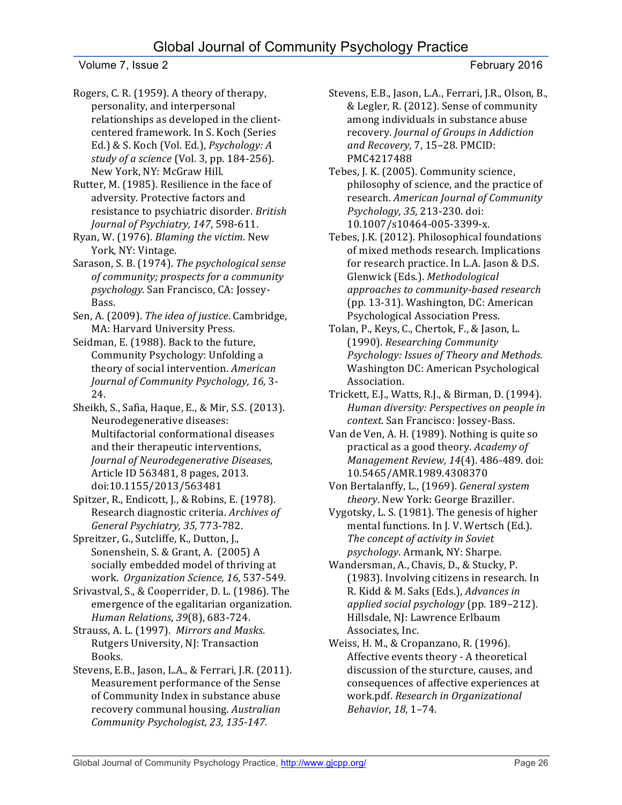# Global Journal of Community Psychology Practice

Volume 7, Issue 2 February 2016

Rogers, C. R. (1959). A theory of therapy, personality, and interpersonal relationships as developed in the clientcentered framework. In S. Koch (Series Ed.) & S. Koch (Vol. Ed.), Psychology: A *study of a science* (Vol. 3, pp. 184-256). New York, NY: McGraw Hill.

Rutter, M. (1985). Resilience in the face of adversity. Protective factors and resistance to psychiatric disorder. *British Journal of Psychiatry, 147, 598-611.* 

Ryan, W. (1976). *Blaming the victim*. New York, NY: Vintage.

Sarason, S. B. (1974). *The psychological sense* of community; prospects for a community *psychology.* San Francisco, CA: Jossey-Bass. 

Sen, A. (2009). *The idea of justice*. Cambridge, MA: Harvard University Press.

Seidman, E. (1988). Back to the future, Community Psychology: Unfolding a theory of social intervention. American *Journal of Community Psychology, 16,* 3- 24.

Sheikh, S., Safia, Haque, E., & Mir, S.S. (2013). Neurodegenerative diseases: Multifactorial conformational diseases and their therapeutic interventions, *Journal of Neurodegenerative Diseases,* Article ID 563481, 8 pages, 2013. doi:10.1155/2013/563481

Spitzer, R., Endicott, J., & Robins, E. (1978). Research diagnostic criteria. Archives of *General Psychiatry, 35,* 773-782.

Spreitzer, G., Sutcliffe, K., Dutton, J., Sonenshein, S. & Grant, A. (2005) A socially embedded model of thriving at work. *Organization Science, 16,* 537-549.

Srivastval, S., & Cooperrider, D. L. (1986). The emergence of the egalitarian organization. *Human Relations*, *39*(8), 683-724.

Strauss, A. L. (1997). Mirrors and Masks. Rutgers University, NJ: Transaction Books.

Stevens, E.B., Jason, L.A., & Ferrari, J.R. (2011). Measurement performance of the Sense of Community Index in substance abuse recovery communal housing. Australian *Community Psychologist, 23, 135-147.*

Stevens, E.B., Jason, L.A., Ferrari, J.R., Olson, B., & Legler, R. (2012). Sense of community among individuals in substance abuse recovery. *Journal of Groups in Addiction* and Recovery, 7, 15-28. PMCID: PMC4217488

Tebes, J. K. (2005). Community science, philosophy of science, and the practice of research. *American Journal of Community Psychology, 35*, 213-230. doi: 10.1007/s10464-005-3399-x.

Tebes, J.K. (2012). Philosophical foundations of mixed methods research. Implications for research practice. In L.A. Jason & D.S. Glenwick (Eds.). Methodological *approaches to community-based research*  (pp. 13-31). Washington, DC: American Psychological Association Press.

Tolan, P., Keys, C., Chertok, F., & Jason, L. (1990). *Researching Community*  **Psychology:** Issues of Theory and Methods. Washington DC: American Psychological Association. 

Trickett, E.J., Watts, R.J., & Birman, D. (1994). *Human diversity: Perspectives on people in context*. San Francisco: Jossey-Bass.

Van de Ven, A. H. (1989). Nothing is quite so practical as a good theory. *Academy of Management Review, 14*(4). 486-489. doi: 10.5465/AMR.1989.4308370

Von Bertalanffy, L., (1969). General system *theory*. New York: George Braziller.

Vygotsky, L. S. (1981). The genesis of higher mental functions. In J. V. Wertsch (Ed.). The concept of activity in Soviet *psychology*. Armank, NY: Sharpe.

Wandersman, A., Chavis, D., & Stucky, P. (1983). Involving citizens in research. In R. Kidd & M. Saks (Eds.), *Advances in applied social psychology* (pp. 189–212). Hillsdale, NJ: Lawrence Erlbaum Associates, Inc.

Weiss, H. M., & Cropanzano, R. (1996). Affective events theory - A theoretical discussion of the sturcture, causes, and consequences of affective experiences at work.pdf. *Research in Organizational Behavior*, 18, 1-74.